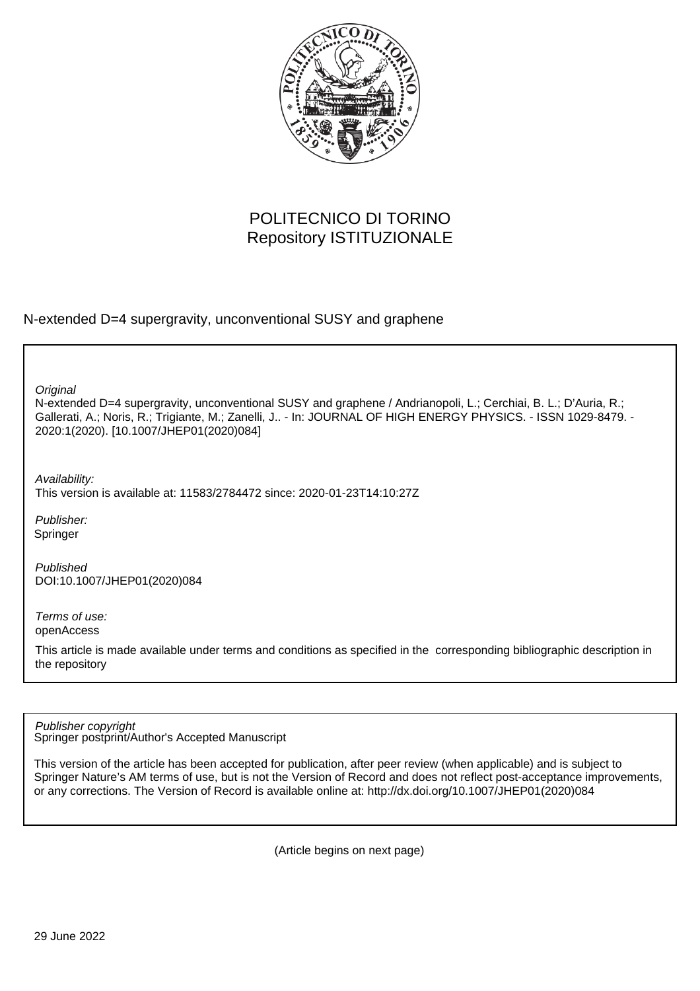

# POLITECNICO DI TORINO Repository ISTITUZIONALE

N-extended D=4 supergravity, unconventional SUSY and graphene

**Original** 

N-extended D=4 supergravity, unconventional SUSY and graphene / Andrianopoli, L.; Cerchiai, B. L.; D'Auria, R.; Gallerati, A.; Noris, R.; Trigiante, M.; Zanelli, J.. - In: JOURNAL OF HIGH ENERGY PHYSICS. - ISSN 1029-8479. - 2020:1(2020). [10.1007/JHEP01(2020)084]

Availability:

This version is available at: 11583/2784472 since: 2020-01-23T14:10:27Z

Publisher: Springer

Published DOI:10.1007/JHEP01(2020)084

Terms of use: openAccess

This article is made available under terms and conditions as specified in the corresponding bibliographic description in the repository

Springer postprint/Author's Accepted Manuscript Publisher copyright

This version of the article has been accepted for publication, after peer review (when applicable) and is subject to Springer Nature's AM terms of use, but is not the Version of Record and does not reflect post-acceptance improvements, or any corrections. The Version of Record is available online at: http://dx.doi.org/10.1007/JHEP01(2020)084

(Article begins on next page)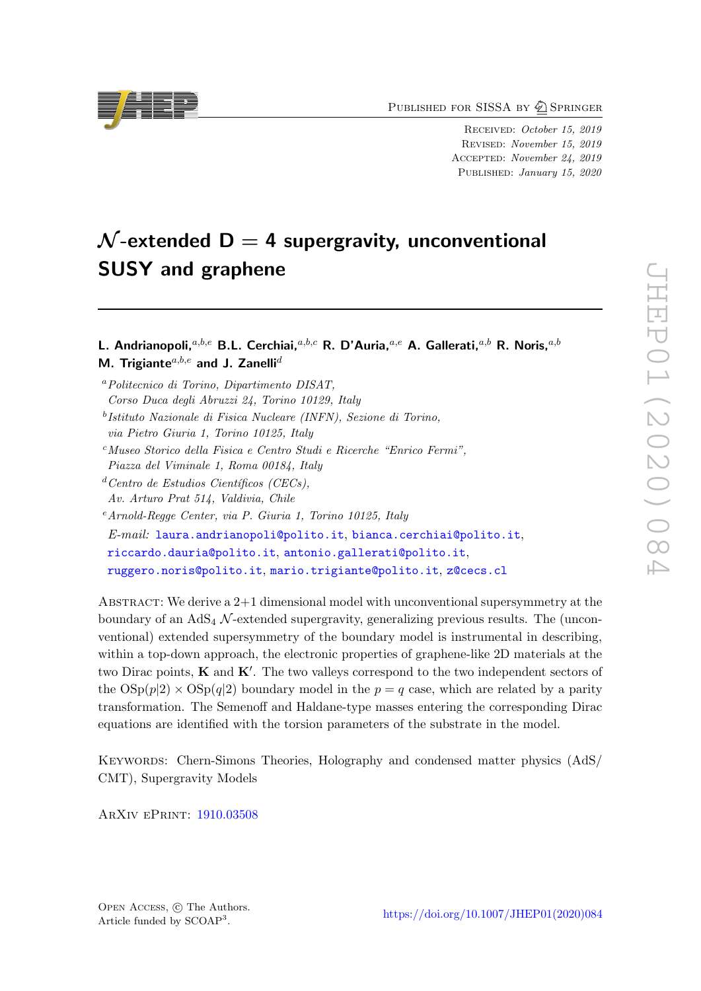PUBLISHED FOR SISSA BY 2 SPRINGER

Received: October 15, 2019 Revised: November 15, 2019 Accepted: November 24, 2019 Published: January 15, 2020

# $\mathcal{N}$ -extended D = 4 supergravity, unconventional SUSY and graphene

L. Andrianopoli,  $a,b,e$  B.L. Cerchiai,  $a,b,e$  R. D'Auria,  $a,e$  A. Gallerati,  $a,b$  R. Noris,  $a,b$ M. Trigiante $a,b,e$  and J. Zanelli $d$ 

<sup>a</sup>Politecnico di Torino, Dipartimento DISAT, Corso Duca degli Abruzzi 24, Torino 10129, Italy

 $e^{e}$ Arnold-Regge Center, via P. Giuria 1, Torino 10125, Italy

E-mail: [laura.andrianopoli@polito.it](mailto:laura.andrianopoli@polito.it), [bianca.cerchiai@polito.it](mailto:bianca.cerchiai@polito.it), [riccardo.dauria@polito.it](mailto:riccardo.dauria@polito.it), [antonio.gallerati@polito.it](mailto:antonio.gallerati@polito.it), [ruggero.noris@polito.it](mailto:ruggero.noris@polito.it), [mario.trigiante@polito.it](mailto:mario.trigiante@polito.it), [z@cecs.cl](mailto:z@cecs.cl)

ABSTRACT: We derive a  $2+1$  dimensional model with unconventional supersymmetry at the boundary of an  $AdS_4$  N-extended supergravity, generalizing previous results. The (unconventional) extended supersymmetry of the boundary model is instrumental in describing, within a top-down approach, the electronic properties of graphene-like 2D materials at the two Dirac points,  $\bf{K}$  and  $\bf{K}'$ . The two valleys correspond to the two independent sectors of the  $\text{OSp}(p|2) \times \text{OSp}(q|2)$  boundary model in the  $p = q$  case, which are related by a parity transformation. The Semenoff and Haldane-type masses entering the corresponding Dirac equations are identified with the torsion parameters of the substrate in the model.

Keywords: Chern-Simons Theories, Holography and condensed matter physics (AdS/ CMT), Supergravity Models

ArXiv ePrint: [1910.03508](https://arxiv.org/abs/1910.03508)



b Istituto Nazionale di Fisica Nucleare (INFN), Sezione di Torino, via Pietro Giuria 1, Torino 10125, Italy

<sup>c</sup>Museo Storico della Fisica e Centro Studi e Ricerche "Enrico Fermi", Piazza del Viminale 1, Roma 00184, Italy

 $d$  Centro de Estudios Científicos (CECs),

Av. Arturo Prat 514, Valdivia, Chile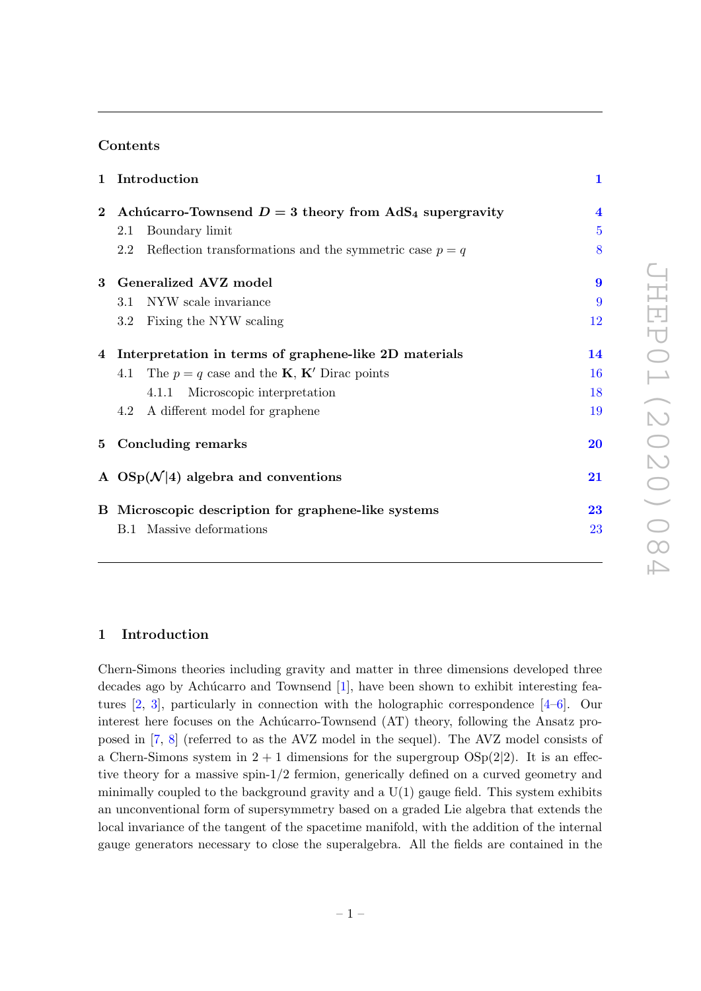# Contents

|          | 1 Introduction                                                       | $\mathbf{1}$            |
|----------|----------------------------------------------------------------------|-------------------------|
| $\bf{2}$ | Achúcarro-Townsend $D = 3$ theory from AdS <sub>4</sub> supergravity | $\overline{\mathbf{4}}$ |
|          | Boundary limit<br>2.1                                                | $\overline{5}$          |
|          | Reflection transformations and the symmetric case $p = q$<br>2.2     | 8                       |
|          | 3 Generalized AVZ model                                              | $\boldsymbol{9}$        |
|          | NYW scale invariance<br>3.1                                          | 9                       |
|          | Fixing the NYW scaling<br>$3.2\,$                                    | 12                      |
|          | 4 Interpretation in terms of graphene-like 2D materials              | 14                      |
|          | 4.1 The $p = q$ case and the <b>K</b> , <b>K'</b> Dirac points       | 16                      |
|          | Microscopic interpretation<br>4.1.1                                  | 18                      |
|          | 4.2 A different model for graphene                                   | 19                      |
|          | 5 Concluding remarks                                                 | 20                      |
|          | A $OSp(\mathcal{N} 4)$ algebra and conventions                       | 21                      |
|          | B Microscopic description for graphene-like systems                  | 23                      |
|          | <b>B.1</b> Massive deformations                                      | 23                      |
|          |                                                                      |                         |

# 1 Introduction

Chern-Simons theories including gravity and matter in three dimensions developed three decades ago by Achúcarro and Townsend  $[1]$ , have been shown to exhibit interesting features  $[2, 3]$ , particularly in connection with the holographic correspondence  $[4-6]$ . Our interest here focuses on the Achúcarro-Townsend  $(AT)$  theory, following the Ansatz proposed in [7, 8] (referred to as the AVZ model in the sequel). The AVZ model consists of a Chern-Simons system in  $2 + 1$  dimensions for the supergroup  $OSp(2|2)$ . It is an effective theory for a massive spin-1/2 fermion, generically defined on a curved geometry and minimally coupled to the background gravity and a  $U(1)$  gauge field. This system exhibits an unconventional form of supersymmetry based on a graded Lie algebra that extends the local invariance of the tangent of the spacetime manifold, with the addition of the internal gauge generators necessary to close the superalgebra. All the fields are contained in the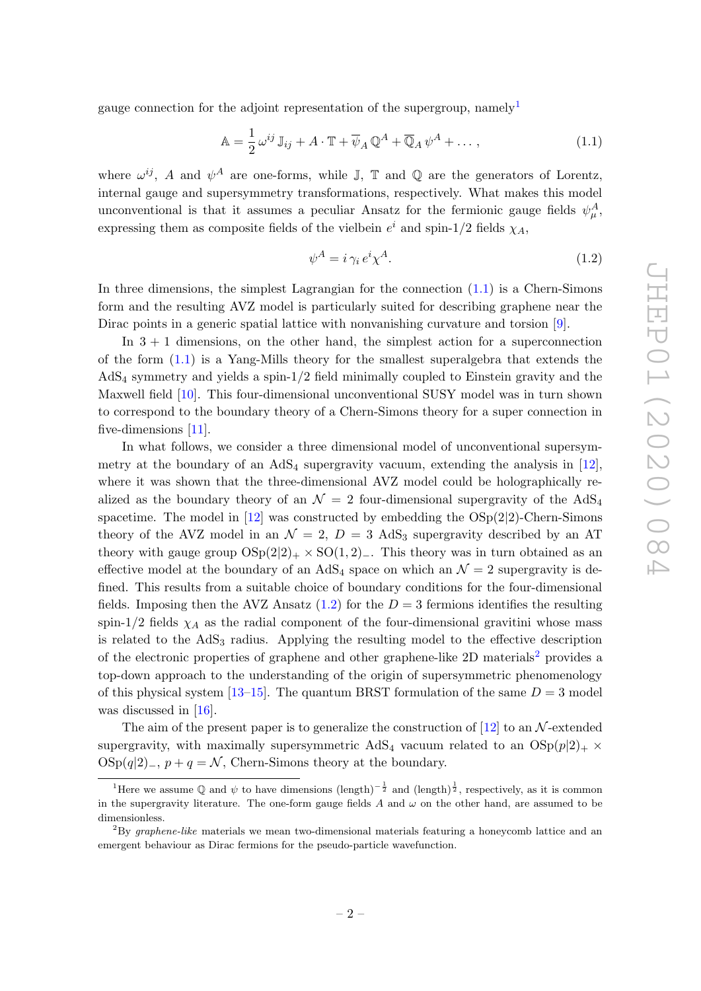gauge connection for the adjoint representation of the supergroup, namely<sup>1</sup>

$$
\mathbb{A} = \frac{1}{2} \omega^{ij} \mathbb{J}_{ij} + A \cdot \mathbb{T} + \overline{\psi}_A \mathbb{Q}^A + \overline{\mathbb{Q}}_A \psi^A + \dots, \qquad (1.1)
$$

where  $\omega^{ij}$ , A and  $\psi^A$  are one-forms, while J, T and Q are the generators of Lorentz, internal gauge and supersymmetry transformations, respectively. What makes this model unconventional is that it assumes a peculiar Ansatz for the fermionic gauge fields  $\psi^A_\mu$ , expressing them as composite fields of the vielbein  $e^i$  and spin-1/2 fields  $\chi_A$ ,

$$
\psi^A = i \gamma_i \, e^i \chi^A. \tag{1.2}
$$

In three dimensions, the simplest Lagrangian for the connection  $(1.1)$  is a Chern-Simons form and the resulting AVZ model is particularly suited for describing graphene near the Dirac points in a generic spatial lattice with nonvanishing curvature and torsion [9].

In  $3 + 1$  dimensions, on the other hand, the simplest action for a superconnection of the form (1.1) is a Yang-Mills theory for the smallest superalgebra that extends the AdS<sup>4</sup> symmetry and yields a spin-1/2 field minimally coupled to Einstein gravity and the Maxwell field [10]. This four-dimensional unconventional SUSY model was in turn shown to correspond to the boundary theory of a Chern-Simons theory for a super connection in five-dimensions [11].

In what follows, we consider a three dimensional model of unconventional supersymmetry at the boundary of an  $AdS_4$  supergravity vacuum, extending the analysis in [12], where it was shown that the three-dimensional AVZ model could be holographically realized as the boundary theory of an  $\mathcal{N} = 2$  four-dimensional supergravity of the AdS<sub>4</sub> spacetime. The model in  $[12]$  was constructed by embedding the  $OSp(2|2)$ -Chern-Simons theory of the AVZ model in an  $\mathcal{N} = 2$ ,  $D = 3$  AdS<sub>3</sub> supergravity described by an AT theory with gauge group  $OSp(2|2)_+ \times SO(1, 2)_-$ . This theory was in turn obtained as an effective model at the boundary of an AdS<sub>4</sub> space on which an  $\mathcal{N}=2$  supergravity is defined. This results from a suitable choice of boundary conditions for the four-dimensional fields. Imposing then the AVZ Ansatz  $(1.2)$  for the  $D = 3$  fermions identifies the resulting spin-1/2 fields  $\chi_A$  as the radial component of the four-dimensional gravitini whose mass is related to the  $AdS<sub>3</sub>$  radius. Applying the resulting model to the effective description of the electronic properties of graphene and other graphene-like  $2D$  materials<sup>2</sup> provides a top-down approach to the understanding of the origin of supersymmetric phenomenology of this physical system  $[13-15]$ . The quantum BRST formulation of the same  $D = 3$  model was discussed in [16].

The aim of the present paper is to generalize the construction of [12] to an  $\mathcal{N}$ -extended supergravity, with maximally supersymmetric AdS<sub>4</sub> vacuum related to an  $OSp(p|2)_+ \times$  $\text{OSp}(q|2)$ <sub>−</sub>,  $p + q = \mathcal{N}$ , Chern-Simons theory at the boundary.

<sup>&</sup>lt;sup>1</sup>Here we assume Q and  $\psi$  to have dimensions  $(\text{length})^{-\frac{1}{2}}$  and  $(\text{length})^{\frac{1}{2}}$ , respectively, as it is common in the supergravity literature. The one-form gauge fields  $A$  and  $\omega$  on the other hand, are assumed to be dimensionless.

<sup>2</sup>By graphene-like materials we mean two-dimensional materials featuring a honeycomb lattice and an emergent behaviour as Dirac fermions for the pseudo-particle wavefunction.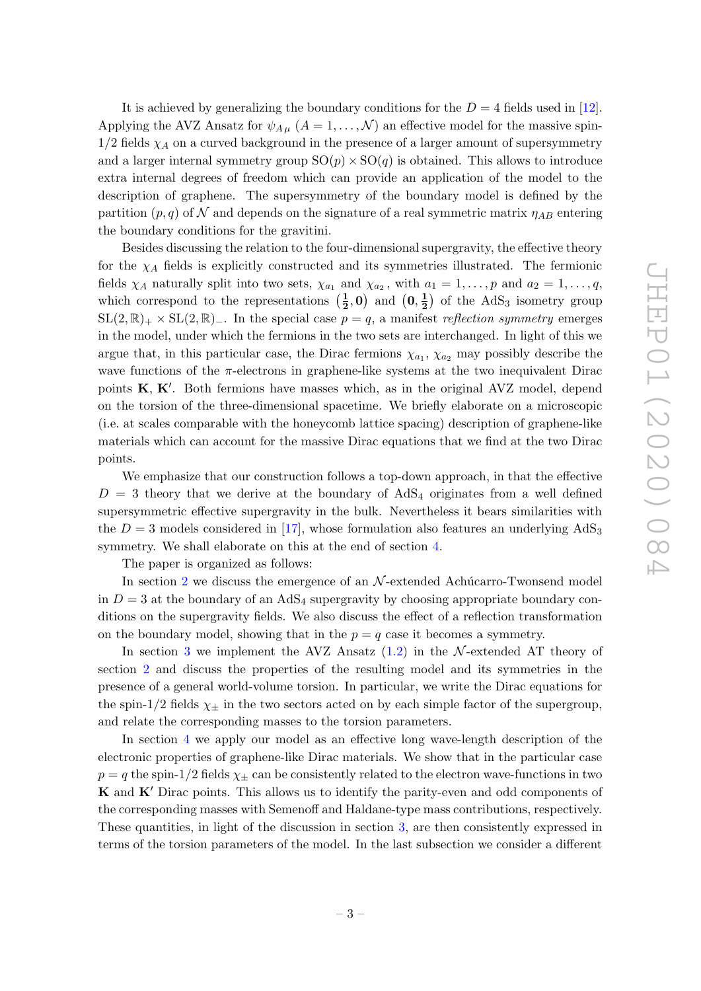It is achieved by generalizing the boundary conditions for the  $D = 4$  fields used in [12]. Applying the AVZ Ansatz for  $\psi_{A\mu}$   $(A = 1, ..., \mathcal{N})$  an effective model for the massive spin- $1/2$  fields  $\chi_A$  on a curved background in the presence of a larger amount of supersymmetry and a larger internal symmetry group  $SO(p) \times SO(q)$  is obtained. This allows to introduce extra internal degrees of freedom which can provide an application of the model to the description of graphene. The supersymmetry of the boundary model is defined by the partition  $(p, q)$  of N and depends on the signature of a real symmetric matrix  $\eta_{AB}$  entering the boundary conditions for the gravitini.

Besides discussing the relation to the four-dimensional supergravity, the effective theory for the  $\chi_A$  fields is explicitly constructed and its symmetries illustrated. The fermionic fields  $\chi_A$  naturally split into two sets,  $\chi_{a_1}$  and  $\chi_{a_2}$ , with  $a_1 = 1, \ldots, p$  and  $a_2 = 1, \ldots, q$ , which correspond to the representations  $\left(\frac{1}{2}\right)$  $(\bf{0}, \frac{1}{2}, 0)$  and  $(\bf{0}, \frac{1}{2})$  $\frac{1}{2}$  of the AdS<sub>3</sub> isometry group  $SL(2,\mathbb{R})_+ \times SL(2,\mathbb{R})_-.$  In the special case  $p = q$ , a manifest reflection symmetry emerges in the model, under which the fermions in the two sets are interchanged. In light of this we argue that, in this particular case, the Dirac fermions  $\chi_{a_1}, \chi_{a_2}$  may possibly describe the wave functions of the  $\pi$ -electrons in graphene-like systems at the two inequivalent Dirac points  $K, K'$ . Both fermions have masses which, as in the original AVZ model, depend on the torsion of the three-dimensional spacetime. We briefly elaborate on a microscopic (i.e. at scales comparable with the honeycomb lattice spacing) description of graphene-like materials which can account for the massive Dirac equations that we find at the two Dirac points.

We emphasize that our construction follows a top-down approach, in that the effective  $D = 3$  theory that we derive at the boundary of AdS<sub>4</sub> originates from a well defined supersymmetric effective supergravity in the bulk. Nevertheless it bears similarities with the  $D = 3$  models considered in [17], whose formulation also features an underlying  $AdS_3$ symmetry. We shall elaborate on this at the end of section 4.

The paper is organized as follows:

In section 2 we discuss the emergence of an  $N$ -extended Achúcarro-Twonsend model in  $D = 3$  at the boundary of an AdS<sub>4</sub> supergravity by choosing appropriate boundary conditions on the supergravity fields. We also discuss the effect of a reflection transformation on the boundary model, showing that in the  $p = q$  case it becomes a symmetry.

In section 3 we implement the AVZ Ansatz  $(1.2)$  in the N-extended AT theory of section 2 and discuss the properties of the resulting model and its symmetries in the presence of a general world-volume torsion. In particular, we write the Dirac equations for the spin-1/2 fields  $\chi_{\pm}$  in the two sectors acted on by each simple factor of the supergroup, and relate the corresponding masses to the torsion parameters.

In section 4 we apply our model as an effective long wave-length description of the electronic properties of graphene-like Dirac materials. We show that in the particular case  $p = q$  the spin-1/2 fields  $\chi_{\pm}$  can be consistently related to the electron wave-functions in two K and K' Dirac points. This allows us to identify the parity-even and odd components of the corresponding masses with Semenoff and Haldane-type mass contributions, respectively. These quantities, in light of the discussion in section 3, are then consistently expressed in terms of the torsion parameters of the model. In the last subsection we consider a different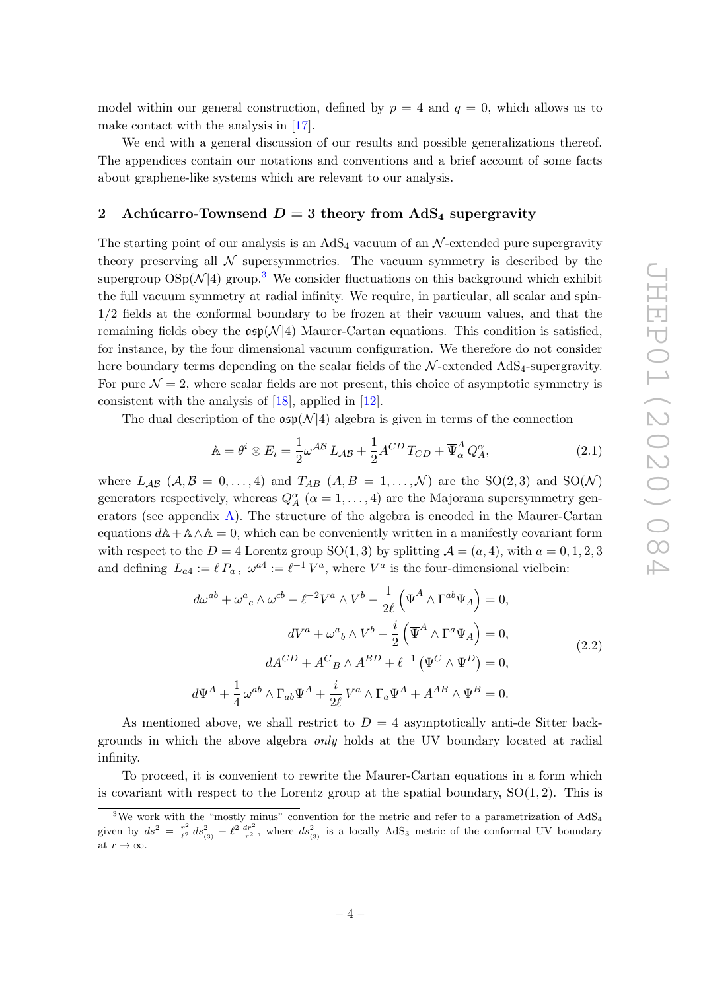model within our general construction, defined by  $p = 4$  and  $q = 0$ , which allows us to make contact with the analysis in [17].

We end with a general discussion of our results and possible generalizations thereof. The appendices contain our notations and conventions and a brief account of some facts about graphene-like systems which are relevant to our analysis.

# 2 Achúcarro-Townsend  $D = 3$  theory from AdS<sub>4</sub> supergravity

The starting point of our analysis is an  $AdS_4$  vacuum of an  $\mathcal{N}$ -extended pure supergravity theory preserving all  $\mathcal N$  supersymmetries. The vacuum symmetry is described by the supergroup  $OSp(\mathcal{N}|4)$  group.<sup>3</sup> We consider fluctuations on this background which exhibit the full vacuum symmetry at radial infinity. We require, in particular, all scalar and spin-1/2 fields at the conformal boundary to be frozen at their vacuum values, and that the remaining fields obey the  $\mathfrak{osp}(\mathcal{N}|4)$  Maurer-Cartan equations. This condition is satisfied, for instance, by the four dimensional vacuum configuration. We therefore do not consider here boundary terms depending on the scalar fields of the  $\mathcal{N}$ -extended AdS<sub>4</sub>-supergravity. For pure  $\mathcal{N} = 2$ , where scalar fields are not present, this choice of asymptotic symmetry is consistent with the analysis of [18], applied in [12].

The dual description of the  $\mathfrak{osp}(\mathcal{N}|4)$  algebra is given in terms of the connection

$$
\mathbb{A} = \theta^i \otimes E_i = \frac{1}{2} \omega^{\mathcal{AB}} L_{\mathcal{AB}} + \frac{1}{2} A^{CD} T_{CD} + \overline{\Psi}^A_{\alpha} Q^{\alpha}_A,\tag{2.1}
$$

where  $L_{AB}$  ( $A, B = 0, ..., 4$ ) and  $T_{AB}$  ( $A, B = 1, ..., \mathcal{N}$ ) are the SO(2,3) and SO( $\mathcal{N}$ ) generators respectively, whereas  $Q_A^{\alpha}$  ( $\alpha = 1, ..., 4$ ) are the Majorana supersymmetry generators (see appendix A). The structure of the algebra is encoded in the Maurer-Cartan equations  $dA + A\wedge A = 0$ , which can be conveniently written in a manifestly covariant form with respect to the  $D = 4$  Lorentz group  $SO(1,3)$  by splitting  $\mathcal{A} = (a,4)$ , with  $a = 0,1,2,3$ and defining  $L_{a4} := \ell P_a$ ,  $\omega^{a4} := \ell^{-1} V^a$ , where  $V^a$  is the four-dimensional vielbein:

$$
d\omega^{ab} + \omega^a{}_c \wedge \omega^{cb} - \ell^{-2}V^a \wedge V^b - \frac{1}{2\ell} \left( \overline{\Psi}^A \wedge \Gamma^{ab}\Psi_A \right) = 0,
$$
  

$$
dV^a + \omega^a{}_b \wedge V^b - \frac{i}{2} \left( \overline{\Psi}^A \wedge \Gamma^a\Psi_A \right) = 0,
$$
  

$$
dA^{CD} + A^C{}_B \wedge A^{BD} + \ell^{-1} \left( \overline{\Psi}^C \wedge \Psi^D \right) = 0,
$$
  

$$
d\Psi^A + \frac{1}{4} \omega^{ab} \wedge \Gamma_{ab}\Psi^A + \frac{i}{2\ell} V^a \wedge \Gamma_a\Psi^A + A^{AB} \wedge \Psi^B = 0.
$$
 (2.2)

As mentioned above, we shall restrict to  $D = 4$  asymptotically anti-de Sitter backgrounds in which the above algebra only holds at the UV boundary located at radial infinity.

To proceed, it is convenient to rewrite the Maurer-Cartan equations in a form which is covariant with respect to the Lorentz group at the spatial boundary,  $SO(1, 2)$ . This is

 $3$ We work with the "mostly minus" convention for the metric and refer to a parametrization of AdS<sub>4</sub> given by  $ds^2 = \frac{r^2}{l^2}$  $\frac{r^2}{\ell^2} ds_{(3)}^2 - \ell^2 \frac{dr^2}{r^2}$ , where  $ds_{(3)}^2$  is a locally AdS<sub>3</sub> metric of the conformal UV boundary at  $r \to \infty$ .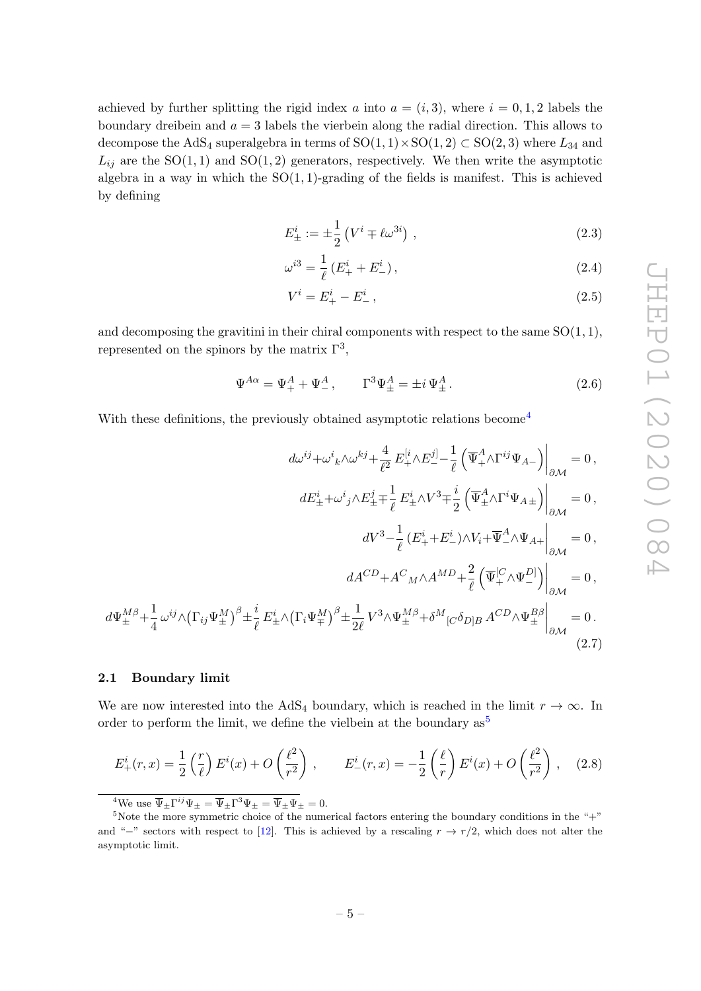achieved by further splitting the rigid index a into  $a = (i, 3)$ , where  $i = 0, 1, 2$  labels the boundary dreibein and  $a = 3$  labels the vierbein along the radial direction. This allows to decompose the AdS<sub>4</sub> superalgebra in terms of  $SO(1,1) \times SO(1,2) \subset SO(2,3)$  where  $L_{34}$  and  $L_{ij}$  are the SO(1,1) and SO(1,2) generators, respectively. We then write the asymptotic algebra in a way in which the  $SO(1,1)$ -grading of the fields is manifest. This is achieved by defining

$$
E_{\pm}^{i} := \pm \frac{1}{2} \left( V^{i} \mp \ell \omega^{3i} \right) , \qquad (2.3)
$$

$$
\omega^{i3} = \frac{1}{\ell} \left( E_+^i + E_-^i \right),\tag{2.4}
$$

$$
V^i = E^i_+ - E^i_-, \tag{2.5}
$$

and decomposing the gravitini in their chiral components with respect to the same  $SO(1, 1)$ , represented on the spinors by the matrix  $\Gamma^3$ ,

$$
\Psi^{A\alpha} = \Psi^A_+ + \Psi^A_- , \qquad \Gamma^3 \Psi^A_\pm = \pm i \Psi^A_\pm . \tag{2.6}
$$

With these definitions, the previously obtained asymptotic relations become<sup>4</sup>

$$
d\omega^{ij} + \omega^{i}{}_{k}\wedge\omega^{kj} + \frac{4}{\ell^{2}} E_{+}^{[i} \wedge E_{-}^{j]} - \frac{1}{\ell} \left( \overline{\Psi}_{+}^{A} \wedge \Gamma^{ij} \Psi_{A-} \right) \Big|_{\partial \mathcal{M}} = 0,
$$
  
\n
$$
dE_{\pm}^{i} + \omega^{i}{}_{j} \wedge E_{\pm}^{j} \mp \frac{1}{\ell} E_{\pm}^{i} \wedge V^{3} \mp \frac{i}{2} \left( \overline{\Psi}_{\pm}^{A} \wedge \Gamma^{i} \Psi_{A\pm} \right) \Big|_{\partial \mathcal{M}} = 0,
$$
  
\n
$$
dV^{3} - \frac{1}{\ell} (E_{+}^{i} + E_{-}^{i}) \wedge V_{i} + \overline{\Psi}_{-}^{A} \wedge \Psi_{A+} \Big|_{\partial \mathcal{M}} = 0,
$$
  
\n
$$
dA^{CD} + A^{C}{}_{M} \wedge A^{MD} + \frac{2}{\ell} \left( \overline{\Psi}_{+}^{[C} \wedge \Psi_{-}^{D]} \right) \Big|_{\partial \mathcal{M}} = 0,
$$
  
\n
$$
d\Psi_{\pm}^{M\beta} + \frac{1}{4} \omega^{ij} \wedge (\Gamma_{ij} \Psi_{\pm}^{M})^{\beta} \pm \frac{i}{\ell} E_{\pm}^{i} \wedge (\Gamma_{i} \Psi_{\mp}^{M})^{\beta} \pm \frac{1}{2\ell} V^{3} \wedge \Psi_{\pm}^{M\beta} + \delta^{M}{}_{[C} \delta_{D]B} A^{CD} \wedge \Psi_{\pm}^{B\beta} \Big|_{\partial \mathcal{M}} = 0.
$$
  
\n(2.7)

# 2.1 Boundary limit

We are now interested into the AdS<sub>4</sub> boundary, which is reached in the limit  $r \to \infty$ . In order to perform the limit, we define the vielbein at the boundary  $as^5$ 

$$
E_{+}^{i}(r,x) = \frac{1}{2} \left(\frac{r}{\ell}\right) E^{i}(x) + O\left(\frac{\ell^{2}}{r^{2}}\right), \qquad E_{-}^{i}(r,x) = -\frac{1}{2} \left(\frac{\ell}{r}\right) E^{i}(x) + O\left(\frac{\ell^{2}}{r^{2}}\right), \quad (2.8)
$$

<sup>4</sup>We use  $\overline{\Psi}_{\pm} \Gamma^{ij} \Psi_{\pm} = \overline{\Psi}_{\pm} \Gamma^3 \Psi_{\pm} = \overline{\Psi}_{\pm} \Psi_{\pm} = 0.$ 

<sup>&</sup>lt;sup>5</sup>Note the more symmetric choice of the numerical factors entering the boundary conditions in the "+" and "−" sectors with respect to [12]. This is achieved by a rescaling  $r \to r/2$ , which does not alter the asymptotic limit.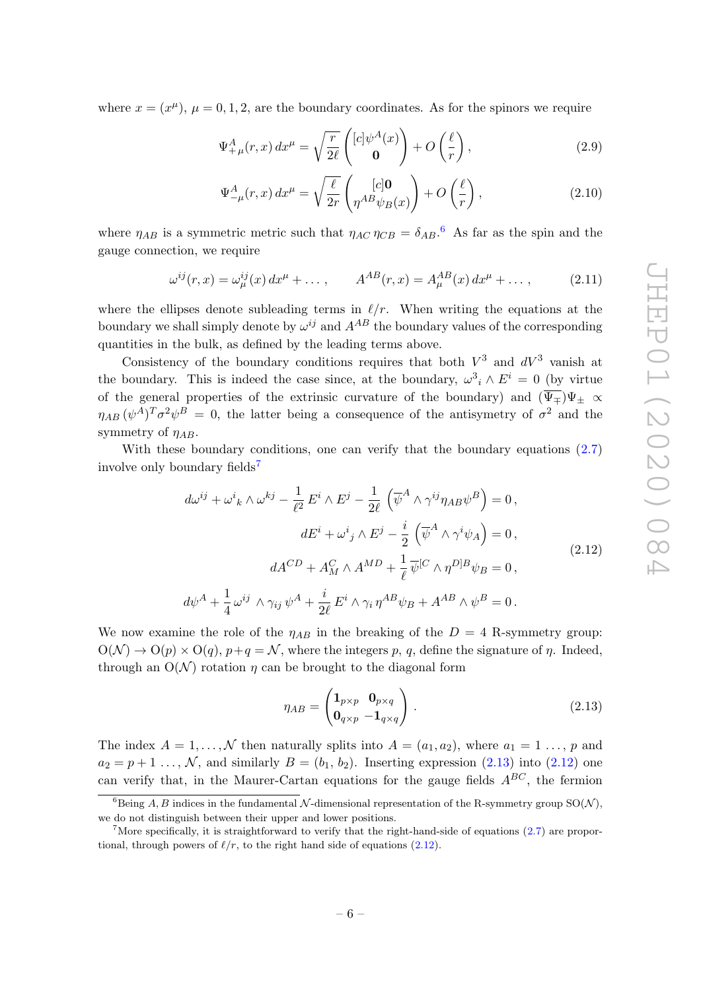where  $x = (x^{\mu}), \mu = 0, 1, 2$ , are the boundary coordinates. As for the spinors we require

$$
\Psi_{+\mu}^{A}(r,x) dx^{\mu} = \sqrt{\frac{r}{2\ell}} \begin{pmatrix} [c] \psi^{A}(x) \\ \mathbf{0} \end{pmatrix} + O\left(\frac{\ell}{r}\right), \tag{2.9}
$$

$$
\Psi_{-\mu}^{A}(r,x) dx^{\mu} = \sqrt{\frac{\ell}{2r}} \left( \rho_{A}^{[c]} \mathbf{0} \right) + O\left(\frac{\ell}{r}\right), \tag{2.10}
$$

where  $\eta_{AB}$  is a symmetric metric such that  $\eta_{AC} \eta_{CB} = \delta_{AB}$ .<sup>6</sup> As far as the spin and the gauge connection, we require

$$
\omega^{ij}(r,x) = \omega^{ij}_{\mu}(x) dx^{\mu} + \dots, \qquad A^{AB}(r,x) = A^{AB}_{\mu}(x) dx^{\mu} + \dots, \qquad (2.11)
$$

where the ellipses denote subleading terms in  $\ell/r$ . When writing the equations at the boundary we shall simply denote by  $\omega^{ij}$  and  $A^{AB}$  the boundary values of the corresponding quantities in the bulk, as defined by the leading terms above.

Consistency of the boundary conditions requires that both  $V^3$  and  $dV^3$  vanish at the boundary. This is indeed the case since, at the boundary,  $\omega^3{}_i \wedge E^i = 0$  (by virtue of the general properties of the extrinsic curvature of the boundary) and  $(\overline{\Psi_{\pm}})\Psi_{\pm} \propto$  $\eta_{AB} (\psi^A)^T \sigma^2 \psi^B = 0$ , the latter being a consequence of the antisymetry of  $\sigma^2$  and the symmetry of  $\eta_{AB}$ .

With these boundary conditions, one can verify that the boundary equations  $(2.7)$ involve only boundary fields<sup>7</sup>

$$
d\omega^{ij} + \omega^{i}{}_{k} \wedge \omega^{kj} - \frac{1}{\ell^{2}} E^{i} \wedge E^{j} - \frac{1}{2\ell} \left( \overline{\psi}^{A} \wedge \gamma^{ij} \eta_{AB} \psi^{B} \right) = 0,
$$
  
\n
$$
dE^{i} + \omega^{i}{}_{j} \wedge E^{j} - \frac{i}{2} \left( \overline{\psi}^{A} \wedge \gamma^{i} \psi_{A} \right) = 0,
$$
  
\n
$$
dA^{CD} + A^{C}_{M} \wedge A^{MD} + \frac{1}{\ell} \overline{\psi}^{[C} \wedge \eta^{D]B} \psi_{B} = 0,
$$
  
\n
$$
d\psi^{A} + \frac{1}{4} \omega^{ij} \wedge \gamma_{ij} \psi^{A} + \frac{i}{2\ell} E^{i} \wedge \gamma_{i} \eta^{AB} \psi_{B} + A^{AB} \wedge \psi^{B} = 0.
$$
\n(2.12)

We now examine the role of the  $\eta_{AB}$  in the breaking of the  $D = 4$  R-symmetry group:  $O(\mathcal{N}) \to O(p) \times O(q)$ ,  $p+q = \mathcal{N}$ , where the integers p, q, define the signature of  $\eta$ . Indeed, through an  $O(N)$  rotation *n* can be brought to the diagonal form

$$
\eta_{AB} = \begin{pmatrix} \mathbf{1}_{p \times p} & \mathbf{0}_{p \times q} \\ \mathbf{0}_{q \times p} & -\mathbf{1}_{q \times q} \end{pmatrix} . \tag{2.13}
$$

The index  $A = 1, ..., \mathcal{N}$  then naturally splits into  $A = (a_1, a_2)$ , where  $a_1 = 1, ..., p$  and  $a_2 = p + 1 \ldots, \mathcal{N}$ , and similarly  $B = (b_1, b_2)$ . Inserting expression (2.13) into (2.12) one can verify that, in the Maurer-Cartan equations for the gauge fields  $A^{BC}$ , the fermion

<sup>&</sup>lt;sup>6</sup>Being A, B indices in the fundamental N-dimensional representation of the R-symmetry group  $SO(N)$ , we do not distinguish between their upper and lower positions.

<sup>&</sup>lt;sup>7</sup>More specifically, it is straightforward to verify that the right-hand-side of equations  $(2.7)$  are proportional, through powers of  $\ell/r$ , to the right hand side of equations (2.12).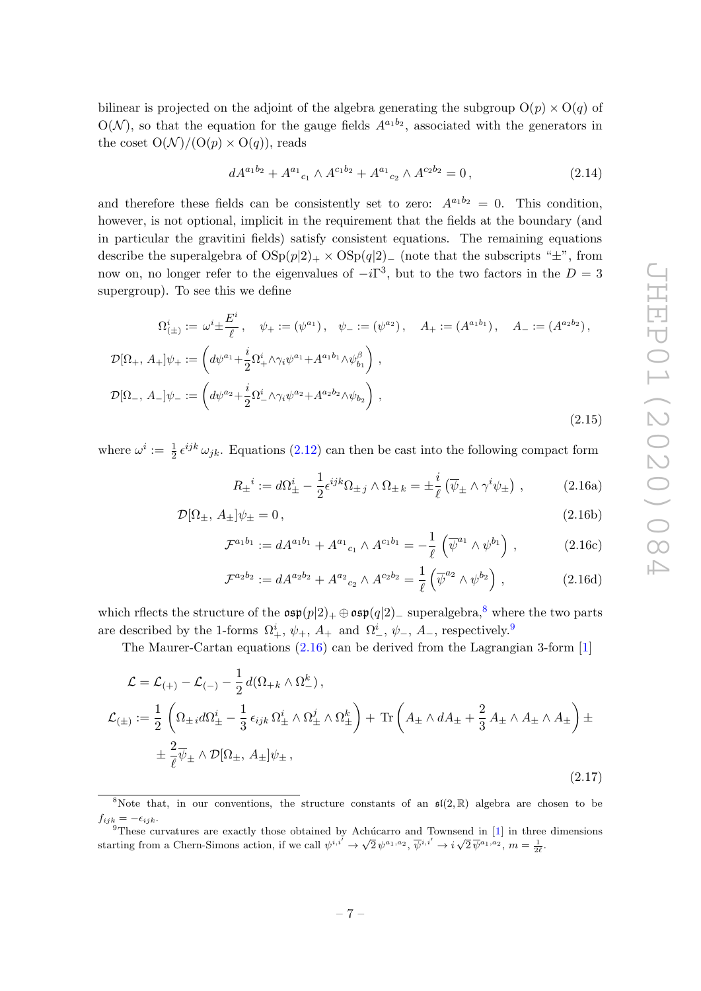bilinear is projected on the adjoint of the algebra generating the subgroup  $O(p) \times O(q)$  of  $O(N)$ , so that the equation for the gauge fields  $A^{a_1b_2}$ , associated with the generators in the coset  $O(N)/(O(p) \times O(q))$ , reads

$$
dA^{a_1b_2} + A^{a_1}{}_{c_1} \wedge A^{c_1b_2} + A^{a_1}{}_{c_2} \wedge A^{c_2b_2} = 0, \qquad (2.14)
$$

and therefore these fields can be consistently set to zero:  $A^{a_1b_2} = 0$ . This condition, however, is not optional, implicit in the requirement that the fields at the boundary (and in particular the gravitini fields) satisfy consistent equations. The remaining equations describe the superalgebra of  $OSp(p|2)_+ \times OSp(q|2)_-$  (note that the subscripts " $\pm$ ", from now on, no longer refer to the eigenvalues of  $-i\Gamma^3$ , but to the two factors in the  $D=3$ supergroup). To see this we define

$$
\Omega_{(\pm)}^{i} := \omega^{i} \pm \frac{E^{i}}{\ell}, \quad \psi_{+} := (\psi^{a_{1}}), \quad \psi_{-} := (\psi^{a_{2}}), \quad A_{+} := (A^{a_{1}b_{1}}), \quad A_{-} := (A^{a_{2}b_{2}}),
$$
  

$$
\mathcal{D}[\Omega_{+}, A_{+}] \psi_{+} := \left( d\psi^{a_{1}} + \frac{i}{2} \Omega_{+}^{i} \wedge \gamma_{i} \psi^{a_{1}} + A^{a_{1}b_{1}} \wedge \psi_{b_{1}}^{\beta} \right),
$$
  

$$
\mathcal{D}[\Omega_{-}, A_{-}] \psi_{-} := \left( d\psi^{a_{2}} + \frac{i}{2} \Omega_{-}^{i} \wedge \gamma_{i} \psi^{a_{2}} + A^{a_{2}b_{2}} \wedge \psi_{b_{2}} \right),
$$
  
(2.15)

where  $\omega^i := \frac{1}{2} \epsilon^{ijk} \omega_{jk}$ . Equations (2.12) can then be cast into the following compact form

$$
R_{\pm}^i := d\Omega_{\pm}^i - \frac{1}{2} \epsilon^{ijk} \Omega_{\pm j} \wedge \Omega_{\pm k} = \pm \frac{i}{\ell} \left( \overline{\psi}_{\pm} \wedge \gamma^i \psi_{\pm} \right) , \qquad (2.16a)
$$

$$
\mathcal{D}[\Omega_{\pm}, A_{\pm}]\psi_{\pm} = 0, \qquad (2.16b)
$$

$$
\mathcal{F}^{a_1 b_1} := dA^{a_1 b_1} + A^{a_1}{}_{c_1} \wedge A^{c_1 b_1} = -\frac{1}{\ell} \left( \overline{\psi}^{a_1} \wedge \psi^{b_1} \right), \tag{2.16c}
$$

$$
\mathcal{F}^{a_2 b_2} := dA^{a_2 b_2} + A^{a_2}{}_{c_2} \wedge A^{c_2 b_2} = \frac{1}{\ell} \left( \overline{\psi}^{a_2} \wedge \psi^{b_2} \right) , \qquad (2.16d)
$$

which rflects the structure of the  $\mathfrak{osp}(p|2)_+\oplus \mathfrak{osp}(q|2)_-$  superalgebra,<sup>8</sup> where the two parts are described by the 1-forms  $\Omega^i_+$ ,  $\psi_+$ ,  $A_+$  and  $\Omega^i_-$ ,  $\psi_-$ ,  $A_-$ , respectively.<sup>9</sup>

The Maurer-Cartan equations (2.16) can be derived from the Lagrangian 3-form [1]

$$
\mathcal{L} = \mathcal{L}_{(+)} - \mathcal{L}_{(-)} - \frac{1}{2} d(\Omega_{+k} \wedge \Omega_{-}^{k}),
$$
  
\n
$$
\mathcal{L}_{(\pm)} := \frac{1}{2} \left( \Omega_{\pm i} d\Omega_{\pm}^{i} - \frac{1}{3} \epsilon_{ijk} \Omega_{\pm}^{i} \wedge \Omega_{\pm}^{j} \wedge \Omega_{\pm}^{k} \right) + \text{Tr} \left( A_{\pm} \wedge dA_{\pm} + \frac{2}{3} A_{\pm} \wedge A_{\pm} \wedge A_{\pm} \right) \pm
$$
  
\n
$$
\pm \frac{2}{\ell} \overline{\psi}_{\pm} \wedge \mathcal{D}[\Omega_{\pm}, A_{\pm}] \psi_{\pm},
$$
\n(2.17)

<sup>&</sup>lt;sup>8</sup>Note that, in our conventions, the structure constants of an  $\mathfrak{sl}(2,\mathbb{R})$  algebra are chosen to be  $f_{ijk} = -\epsilon_{ijk}.$ 

 $9$ These curvatures are exactly those obtained by Achúcarro and Townsend in [1] in three dimensions starting from a Chern-Simons action, if we call  $\psi^{i,i'} \to \sqrt{2} \psi^{a_1, a_2}, \overline{\psi}^{i,i'} \to i \sqrt{2} \overline{\psi}^{a_1, a_2}, m = \frac{1}{2\ell}$ .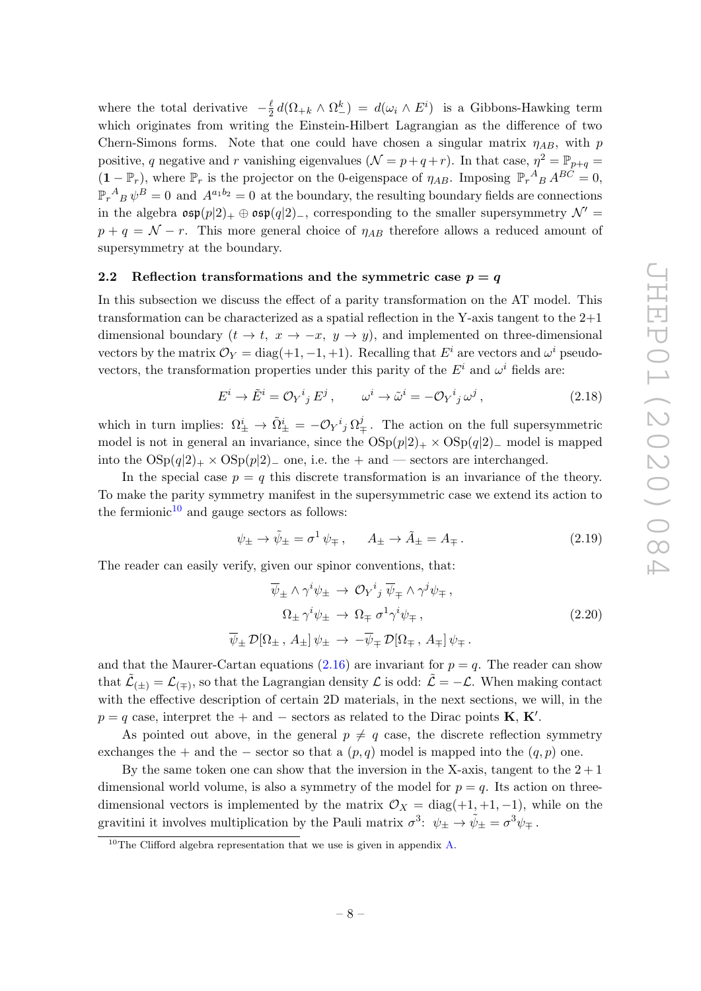where the total derivative  $-\frac{\ell}{2}$  $\frac{\ell}{2} d(\Omega_{+k} \wedge \Omega_{-}^{k}) = d(\omega_i \wedge E^i)$  is a Gibbons-Hawking term which originates from writing the Einstein-Hilbert Lagrangian as the difference of two Chern-Simons forms. Note that one could have chosen a singular matrix  $\eta_{AB}$ , with p positive, q negative and r vanishing eigenvalues  $(\mathcal{N} = p + q + r)$ . In that case,  $\eta^2 = \mathbb{P}_{p+q}$  $(1 - \mathbb{P}_r)$ , where  $\mathbb{P}_r$  is the projector on the 0-eigenspace of  $\eta_{AB}$ . Imposing  $\mathbb{P}_r^A{}_B A^{BC} = 0$ ,  $\mathbb{P}_r^A{}_B\,\psi^B=0\,$  and  $\,A^{a_1b_2}=0\,$  at the boundary, the resulting boundary fields are connections in the algebra  $\mathfrak{osp}(p|2)_+\oplus \mathfrak{osp}(q|2)_-,$  corresponding to the smaller supersymmetry  $\mathcal{N}' =$  $p + q = \mathcal{N} - r$ . This more general choice of  $\eta_{AB}$  therefore allows a reduced amount of supersymmetry at the boundary.

#### 2.2 Reflection transformations and the symmetric case  $p = q$

In this subsection we discuss the effect of a parity transformation on the AT model. This transformation can be characterized as a spatial reflection in the Y-axis tangent to the 2+1 dimensional boundary  $(t \to t, x \to -x, y \to y)$ , and implemented on three-dimensional vectors by the matrix  $\mathcal{O}_Y = \text{diag}(+1, -1, +1)$ . Recalling that  $E^i$  are vectors and  $\omega^i$  pseudovectors, the transformation properties under this parity of the  $E^i$  and  $\omega^i$  fields are:

$$
E^{i} \to \tilde{E}^{i} = \mathcal{O}_{Y}{}^{i}{}_{j} E^{j} , \qquad \omega^{i} \to \tilde{\omega}^{i} = -\mathcal{O}_{Y}{}^{i}{}_{j} \omega^{j} , \qquad (2.18)
$$

which in turn implies:  $\Omega^i_{\pm} \to \tilde{\Omega}^i_{\pm} = -\mathcal{O}_Y{}^i{}_j \Omega^j_{\mp}$ . The action on the full supersymmetric model is not in general an invariance, since the  $OSp(p|2)_+ \times OSp(q|2)_-$  model is mapped into the  $OSp(q|2)_+ \times OSp(p|2)_-$  one, i.e. the + and — sectors are interchanged.

In the special case  $p = q$  this discrete transformation is an invariance of the theory. To make the parity symmetry manifest in the supersymmetric case we extend its action to the fermionic $10$  and gauge sectors as follows:

$$
\psi_{\pm} \to \tilde{\psi}_{\pm} = \sigma^1 \psi_{\mp} , \qquad A_{\pm} \to \tilde{A}_{\pm} = A_{\mp} . \tag{2.19}
$$

The reader can easily verify, given our spinor conventions, that:

$$
\overline{\psi}_{\pm} \wedge \gamma^{i} \psi_{\pm} \rightarrow \mathcal{O}_{Y}{}^{i}{}_{j} \overline{\psi}_{\mp} \wedge \gamma^{j} \psi_{\mp},
$$
\n
$$
\Omega_{\pm} \gamma^{i} \psi_{\pm} \rightarrow \Omega_{\mp} \sigma^{1} \gamma^{i} \psi_{\mp},
$$
\n
$$
\overline{\psi}_{\pm} \mathcal{D}[\Omega_{\pm}, A_{\pm}] \psi_{\pm} \rightarrow -\overline{\psi}_{\mp} \mathcal{D}[\Omega_{\mp}, A_{\mp}] \psi_{\mp}.
$$
\n(2.20)

and that the Maurer-Cartan equations  $(2.16)$  are invariant for  $p = q$ . The reader can show that  $\tilde{\mathcal{L}}_{(\pm)} = \mathcal{L}_{(\mp)}$ , so that the Lagrangian density  $\mathcal{L}$  is odd:  $\tilde{\mathcal{L}} = -\mathcal{L}$ . When making contact with the effective description of certain 2D materials, in the next sections, we will, in the  $p = q$  case, interpret the + and – sectors as related to the Dirac points **K**, **K'**.

As pointed out above, in the general  $p \neq q$  case, the discrete reflection symmetry exchanges the + and the – sector so that a  $(p, q)$  model is mapped into the  $(q, p)$  one.

By the same token one can show that the inversion in the X-axis, tangent to the  $2 + 1$ dimensional world volume, is also a symmetry of the model for  $p = q$ . Its action on threedimensional vectors is implemented by the matrix  $\mathcal{O}_X = \text{diag}(+1, +1, -1)$ , while on the gravitini it involves multiplication by the Pauli matrix  $\sigma^3$ :  $\psi_{\pm} \to \tilde{\psi}_{\pm} = \sigma^3 \psi_{\mp}$ .

<sup>&</sup>lt;sup>10</sup>The Clifford algebra representation that we use is given in appendix A.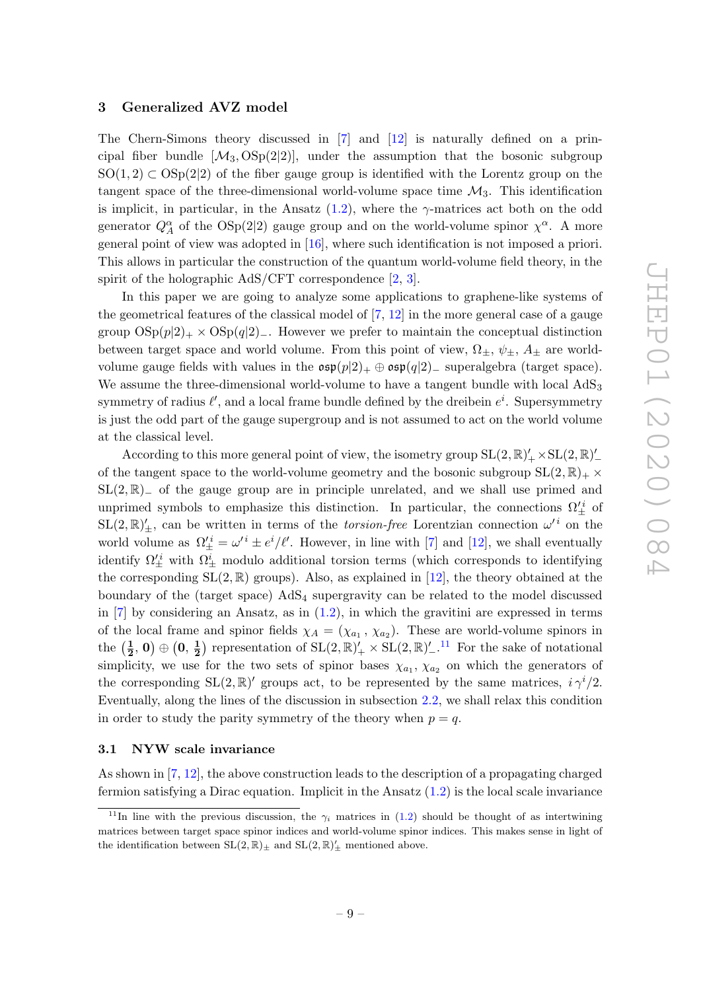#### 3 Generalized AVZ model

The Chern-Simons theory discussed in [7] and [12] is naturally defined on a principal fiber bundle  $[\mathcal{M}_3, \text{OSp}(2|2)]$ , under the assumption that the bosonic subgroup  $SO(1, 2) \subset OSp(2|2)$  of the fiber gauge group is identified with the Lorentz group on the tangent space of the three-dimensional world-volume space time  $\mathcal{M}_3$ . This identification is implicit, in particular, in the Ansatz  $(1.2)$ , where the  $\gamma$ -matrices act both on the odd generator  $Q_A^{\alpha}$  of the OSp(2|2) gauge group and on the world-volume spinor  $\chi^{\alpha}$ . A more general point of view was adopted in [16], where such identification is not imposed a priori. This allows in particular the construction of the quantum world-volume field theory, in the spirit of the holographic AdS/CFT correspondence [2, 3].

In this paper we are going to analyze some applications to graphene-like systems of the geometrical features of the classical model of  $[7, 12]$  in the more general case of a gauge group  $\text{OSp}(p|2)_+ \times \text{OSp}(q|2)_-$ . However we prefer to maintain the conceptual distinction between target space and world volume. From this point of view,  $\Omega_{\pm}$ ,  $\psi_{\pm}$ ,  $A_{\pm}$  are worldvolume gauge fields with values in the  $\exp(p|2)_+ \oplus \exp(q|2)_-$  superalgebra (target space). We assume the three-dimensional world-volume to have a tangent bundle with local  $AdS_3$ symmetry of radius  $\ell'$ , and a local frame bundle defined by the dreibein  $e^i$ . Supersymmetry is just the odd part of the gauge supergroup and is not assumed to act on the world volume at the classical level.

According to this more general point of view, the isometry group  $SL(2,\mathbb{R})'_{+}\times SL(2,\mathbb{R})'_{-}$ of the tangent space to the world-volume geometry and the bosonic subgroup  $SL(2,\mathbb{R})_+ \times$  $SL(2,\mathbb{R})$ <sub>−</sub> of the gauge group are in principle unrelated, and we shall use primed and unprimed symbols to emphasize this distinction. In particular, the connections  $\Omega'^i_{\pm}$  of  $SL(2,\mathbb{R})'_{\pm}$ , can be written in terms of the *torsion-free* Lorentzian connection  $\omega'^i$  on the world volume as  $\Omega_{\pm}^{\prime i} = \omega^{\prime i} \pm e^{i}/\ell^{\prime}$ . However, in line with [7] and [12], we shall eventually identify  $\Omega'^i_{\pm}$  with  $\Omega^i_{\pm}$  modulo additional torsion terms (which corresponds to identifying the corresponding  $SL(2,\mathbb{R})$  groups). Also, as explained in [12], the theory obtained at the boundary of the (target space)  $AdS_4$  supergravity can be related to the model discussed in  $[7]$  by considering an Ansatz, as in  $(1.2)$ , in which the gravitini are expressed in terms of the local frame and spinor fields  $\chi_A = (\chi_{a_1}, \chi_{a_2})$ . These are world-volume spinors in the  $(\frac{1}{2})$  $\frac{1}{2},\, 0)\oplus \big(0,\, \frac{1}{2}$  $\frac{1}{2}$ ) representation of  $SL(2,\mathbb{R})'_{+}\times SL(2,\mathbb{R})'_{-}.$ <sup>11</sup> For the sake of notational simplicity, we use for the two sets of spinor bases  $\chi_{a_1}, \chi_{a_2}$  on which the generators of the corresponding  $SL(2,\mathbb{R})'$  groups act, to be represented by the same matrices,  $i \gamma^{i}/2$ . Eventually, along the lines of the discussion in subsection 2.2, we shall relax this condition in order to study the parity symmetry of the theory when  $p = q$ .

#### 3.1 NYW scale invariance

As shown in [7, 12], the above construction leads to the description of a propagating charged fermion satisfying a Dirac equation. Implicit in the Ansatz  $(1.2)$  is the local scale invariance

<sup>&</sup>lt;sup>11</sup>In line with the previous discussion, the  $\gamma_i$  matrices in (1.2) should be thought of as intertwining matrices between target space spinor indices and world-volume spinor indices. This makes sense in light of the identification between  $SL(2,\mathbb{R})_{\pm}$  and  $SL(2,\mathbb{R})_{\pm}'$  mentioned above.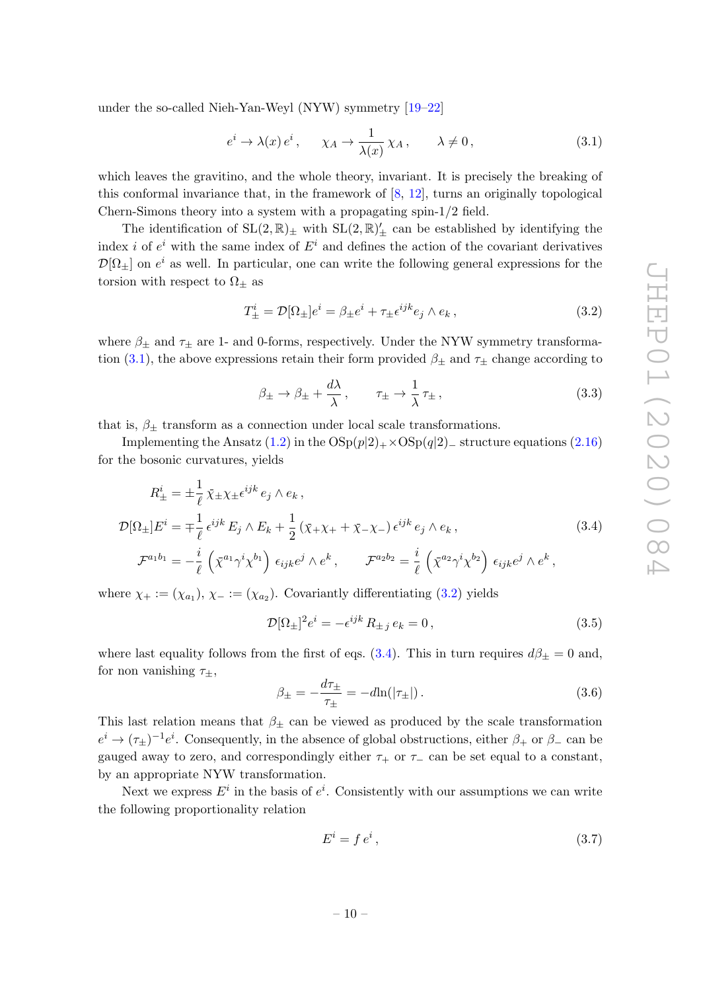under the so-called Nieh-Yan-Weyl (NYW) symmetry [19–22]

$$
e^{i} \to \lambda(x) e^{i}, \quad \chi_A \to \frac{1}{\lambda(x)} \chi_A, \quad \lambda \neq 0,
$$
\n(3.1)

which leaves the gravitino, and the whole theory, invariant. It is precisely the breaking of this conformal invariance that, in the framework of [8, 12], turns an originally topological Chern-Simons theory into a system with a propagating spin-1/2 field.

The identification of  $SL(2,\mathbb{R})_{\pm}$  with  $SL(2,\mathbb{R})_{\pm}'$  can be established by identifying the index *i* of  $e^{i}$  with the same index of  $E^{i}$  and defines the action of the covariant derivatives  $\mathcal{D}[\Omega_{\pm}]$  on  $e^i$  as well. In particular, one can write the following general expressions for the torsion with respect to  $\Omega_{\pm}$  as

$$
T_{\pm}^{i} = \mathcal{D}[\Omega_{\pm}]e^{i} = \beta_{\pm}e^{i} + \tau_{\pm}\epsilon^{ijk}e_{j} \wedge e_{k}, \qquad (3.2)
$$

where  $\beta_{\pm}$  and  $\tau_{\pm}$  are 1- and 0-forms, respectively. Under the NYW symmetry transformation (3.1), the above expressions retain their form provided  $\beta_{\pm}$  and  $\tau_{\pm}$  change according to

$$
\beta_{\pm} \to \beta_{\pm} + \frac{d\lambda}{\lambda}, \qquad \tau_{\pm} \to \frac{1}{\lambda} \tau_{\pm}, \tag{3.3}
$$

that is,  $\beta_{\pm}$  transform as a connection under local scale transformations.

Implementing the Ansatz  $(1.2)$  in the  $OSp(p|2)$ +×OSp $(q|2)$ − structure equations (2.16) for the bosonic curvatures, yields

$$
R_{\pm}^{i} = \pm \frac{1}{\ell} \bar{\chi}_{\pm} \chi_{\pm} \epsilon^{ijk} e_{j} \wedge e_{k},
$$
  
\n
$$
\mathcal{D}[\Omega_{\pm}] E^{i} = \mp \frac{1}{\ell} \epsilon^{ijk} E_{j} \wedge E_{k} + \frac{1}{2} (\bar{\chi}_{+} \chi_{+} + \bar{\chi}_{-} \chi_{-}) \epsilon^{ijk} e_{j} \wedge e_{k},
$$
  
\n
$$
\mathcal{F}^{a_{1}b_{1}} = -\frac{i}{\ell} \left( \bar{\chi}^{a_{1}} \gamma^{i} \chi^{b_{1}} \right) \epsilon_{ijk} e^{j} \wedge e^{k}, \qquad \mathcal{F}^{a_{2}b_{2}} = \frac{i}{\ell} \left( \bar{\chi}^{a_{2}} \gamma^{i} \chi^{b_{2}} \right) \epsilon_{ijk} e^{j} \wedge e^{k},
$$
\n(3.4)

where  $\chi_+ := (\chi_{a_1}), \chi_- := (\chi_{a_2}).$  Covariantly differentiating (3.2) yields

$$
\mathcal{D}[\Omega_{\pm}]^2 e^i = -\epsilon^{ijk} R_{\pm j} e_k = 0, \qquad (3.5)
$$

where last equality follows from the first of eqs. (3.4). This in turn requires  $d\beta_{\pm} = 0$  and, for non vanishing  $\tau_{\pm}$ ,

$$
\beta_{\pm} = -\frac{d\tau_{\pm}}{\tau_{\pm}} = -d\ln(|\tau_{\pm}|). \tag{3.6}
$$

This last relation means that  $\beta_{\pm}$  can be viewed as produced by the scale transformation  $e^i \to (\tau_{\pm})^{-1}e^i$ . Consequently, in the absence of global obstructions, either  $\beta_+$  or  $\beta_-$  can be gauged away to zero, and correspondingly either  $\tau_+$  or  $\tau_-$  can be set equal to a constant, by an appropriate NYW transformation.

Next we express  $E^i$  in the basis of  $e^i$ . Consistently with our assumptions we can write the following proportionality relation

$$
E^i = f e^i, \tag{3.7}
$$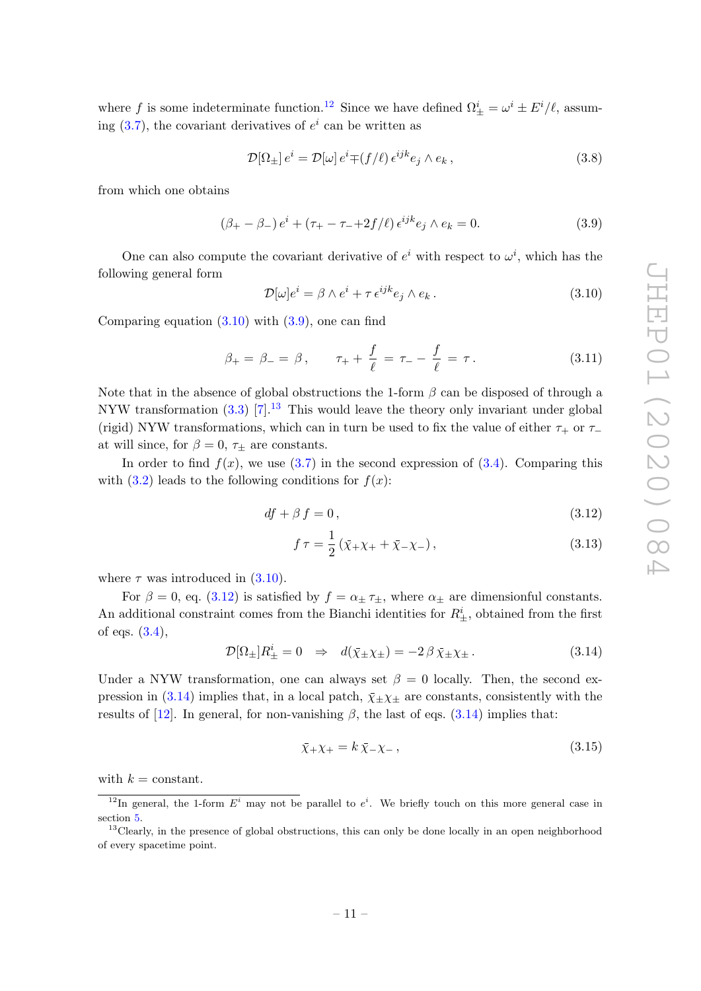where f is some indeterminate function.<sup>12</sup> Since we have defined  $\Omega^i_{\pm} = \omega^i \pm E^i/\ell$ , assuming  $(3.7)$ , the covariant derivatives of  $e^i$  can be written as

$$
\mathcal{D}[\Omega_{\pm}] e^i = \mathcal{D}[\omega] e^i \mp (f/\ell) e^{ijk} e_j \wedge e_k , \qquad (3.8)
$$

from which one obtains

$$
(\beta_{+} - \beta_{-}) e^{i} + (\tau_{+} - \tau_{-} + 2f/\ell) e^{ijk} e_{j} \wedge e_{k} = 0.
$$
 (3.9)

One can also compute the covariant derivative of  $e^i$  with respect to  $\omega^i$ , which has the following general form

$$
\mathcal{D}[\omega]e^i = \beta \wedge e^i + \tau \, \epsilon^{ijk} e_j \wedge e_k \,. \tag{3.10}
$$

Comparing equation  $(3.10)$  with  $(3.9)$ , one can find

$$
\beta_{+} = \beta_{-} = \beta, \qquad \tau_{+} + \frac{f}{\ell} = \tau_{-} - \frac{f}{\ell} = \tau. \tag{3.11}
$$

Note that in the absence of global obstructions the 1-form  $\beta$  can be disposed of through a NYW transformation  $(3.3)$  [7].<sup>13</sup> This would leave the theory only invariant under global (rigid) NYW transformations, which can in turn be used to fix the value of either  $\tau_+$  or  $\tau_$ at will since, for  $\beta = 0$ ,  $\tau_{\pm}$  are constants.

In order to find  $f(x)$ , we use (3.7) in the second expression of (3.4). Comparing this with  $(3.2)$  leads to the following conditions for  $f(x)$ :

$$
df + \beta f = 0, \tag{3.12}
$$

$$
f \tau = \frac{1}{2} \left( \bar{\chi}_{+} \chi_{+} + \bar{\chi}_{-} \chi_{-} \right), \tag{3.13}
$$

where  $\tau$  was introduced in (3.10).

For  $\beta = 0$ , eq. (3.12) is satisfied by  $f = \alpha_{\pm} \tau_{\pm}$ , where  $\alpha_{\pm}$  are dimensionful constants. An additional constraint comes from the Bianchi identities for  $R^i_{\pm}$ , obtained from the first of eqs.  $(3.4)$ ,

$$
\mathcal{D}[\Omega_{\pm}]R_{\pm}^{i} = 0 \Rightarrow d(\bar{\chi}_{\pm}\chi_{\pm}) = -2\beta \bar{\chi}_{\pm}\chi_{\pm}.
$$
 (3.14)

Under a NYW transformation, one can always set  $\beta = 0$  locally. Then, the second expression in (3.14) implies that, in a local patch,  $\bar{\chi}_{\pm}\chi_{\pm}$  are constants, consistently with the results of  $[12]$ . In general, for non-vanishing  $\beta$ , the last of eqs.  $(3.14)$  implies that:

$$
\bar{\chi}_{+}\chi_{+} = k\,\bar{\chi}_{-}\chi_{-}\,,\tag{3.15}
$$

with  $k =$  constant.

<sup>&</sup>lt;sup>12</sup>In general, the 1-form  $E^i$  may not be parallel to  $e^i$ . We briefly touch on this more general case in section 5.

<sup>&</sup>lt;sup>13</sup>Clearly, in the presence of global obstructions, this can only be done locally in an open neighborhood of every spacetime point.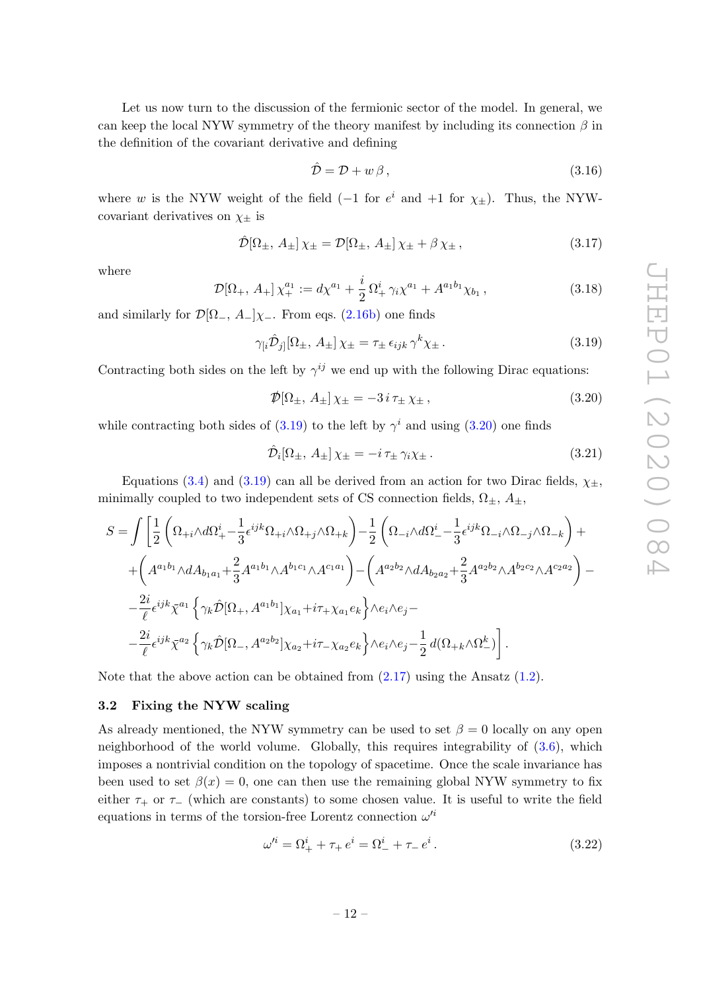Let us now turn to the discussion of the fermionic sector of the model. In general, we can keep the local NYW symmetry of the theory manifest by including its connection  $\beta$  in the definition of the covariant derivative and defining

$$
\hat{\mathcal{D}} = \mathcal{D} + w\,\beta\,,\tag{3.16}
$$

where w is the NYW weight of the field (-1 for  $e^i$  and +1 for  $\chi_{\pm}$ ). Thus, the NYWcovariant derivatives on  $\chi_{\pm}$  is

$$
\hat{\mathcal{D}}[\Omega_{\pm}, A_{\pm}] \chi_{\pm} = \mathcal{D}[\Omega_{\pm}, A_{\pm}] \chi_{\pm} + \beta \chi_{\pm}, \qquad (3.17)
$$

where

$$
\mathcal{D}[\Omega_+, A_+] \chi_+^{a_1} := d\chi^{a_1} + \frac{i}{2} \Omega_+^i \gamma_i \chi^{a_1} + A^{a_1 b_1} \chi_{b_1}, \qquad (3.18)
$$

and similarly for  $\mathcal{D}[\Omega_-, A_-]\chi_-.$  From eqs. (2.16b) one finds

$$
\gamma_{[i}\hat{\mathcal{D}}_{j]}[\Omega_{\pm}, A_{\pm}] \chi_{\pm} = \tau_{\pm} \,\epsilon_{ijk} \,\gamma^k \chi_{\pm} \,. \tag{3.19}
$$

Contracting both sides on the left by  $\gamma^{ij}$  we end up with the following Dirac equations:

$$
\mathcal{D}[\Omega_{\pm}, A_{\pm}] \chi_{\pm} = -3 i \tau_{\pm} \chi_{\pm}, \qquad (3.20)
$$

while contracting both sides of  $(3.19)$  to the left by  $\gamma^i$  and using  $(3.20)$  one finds

$$
\hat{\mathcal{D}}_i[\Omega_\pm, A_\pm] \chi_\pm = -i \tau_\pm \gamma_i \chi_\pm. \tag{3.21}
$$

Equations (3.4) and (3.19) can all be derived from an action for two Dirac fields,  $\chi_{\pm}$ , minimally coupled to two independent sets of CS connection fields,  $\Omega_{\pm}$ ,  $A_{\pm}$ ,

$$
S = \int \left[ \frac{1}{2} \left( \Omega_{+i} \wedge d\Omega_+^i - \frac{1}{3} \epsilon^{ijk} \Omega_{+i} \wedge \Omega_{+j} \wedge \Omega_{+k} \right) - \frac{1}{2} \left( \Omega_{-i} \wedge d\Omega_-^i - \frac{1}{3} \epsilon^{ijk} \Omega_{-i} \wedge \Omega_{-j} \wedge \Omega_{-k} \right) + \right.
$$
  
+ 
$$
\left( A^{a_1 b_1} \wedge dA_{b_1 a_1} + \frac{2}{3} A^{a_1 b_1} \wedge A^{b_1 c_1} \wedge A^{c_1 a_1} \right) - \left( A^{a_2 b_2} \wedge dA_{b_2 a_2} + \frac{2}{3} A^{a_2 b_2} \wedge A^{b_2 c_2} \wedge A^{c_2 a_2} \right) - \left. - \frac{2i}{\ell} \epsilon^{ijk} \bar{\chi}^{a_1} \left\{ \gamma_k \hat{D} [\Omega_+, A^{a_1 b_1}] \chi_{a_1} + i\tau_{+} \chi_{a_1} e_k \right\} \wedge e_i \wedge e_j - \right.
$$
  
- 
$$
\left. - \frac{2i}{\ell} \epsilon^{ijk} \bar{\chi}^{a_2} \left\{ \gamma_k \hat{D} [\Omega_-, A^{a_2 b_2}] \chi_{a_2} + i\tau_{-} \chi_{a_2} e_k \right\} \wedge e_i \wedge e_j - \frac{1}{2} d(\Omega_{+k} \wedge \Omega_-^k) \right].
$$

Note that the above action can be obtained from  $(2.17)$  using the Ansatz  $(1.2)$ .

# 3.2 Fixing the NYW scaling

As already mentioned, the NYW symmetry can be used to set  $\beta = 0$  locally on any open neighborhood of the world volume. Globally, this requires integrability of (3.6), which imposes a nontrivial condition on the topology of spacetime. Once the scale invariance has been used to set  $\beta(x) = 0$ , one can then use the remaining global NYW symmetry to fix either  $\tau_+$  or  $\tau_-$  (which are constants) to some chosen value. It is useful to write the field equations in terms of the torsion-free Lorentz connection  $\omega'^i$ 

$$
\omega'^{i} = \Omega_{+}^{i} + \tau_{+} e^{i} = \Omega_{-}^{i} + \tau_{-} e^{i}. \qquad (3.22)
$$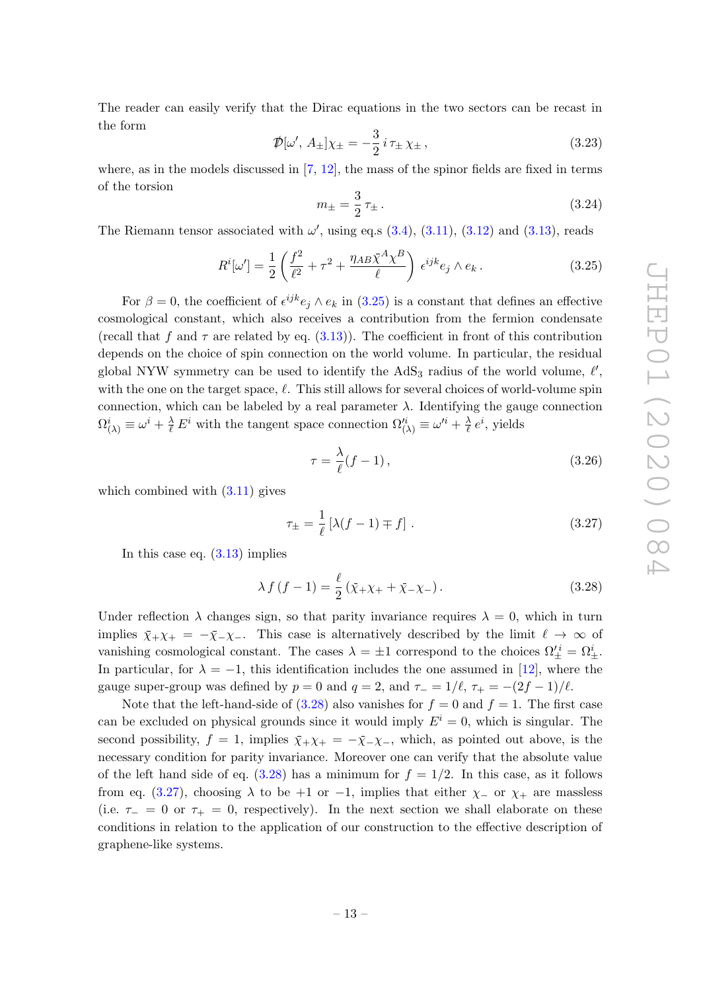The reader can easily verify that the Dirac equations in the two sectors can be recast in the form

$$
\mathcal{D}[\omega', A_{\pm}]\chi_{\pm} = -\frac{3}{2}i\,\tau_{\pm}\,\chi_{\pm}\,,\tag{3.23}
$$

where, as in the models discussed in  $[7, 12]$ , the mass of the spinor fields are fixed in terms of the torsion

$$
m_{\pm} = \frac{3}{2} \tau_{\pm} \,. \tag{3.24}
$$

The Riemann tensor associated with  $\omega'$ , using eq.s  $(3.4)$ ,  $(3.11)$ ,  $(3.12)$  and  $(3.13)$ , reads

$$
R^{i}[\omega'] = \frac{1}{2} \left( \frac{f^2}{\ell^2} + \tau^2 + \frac{\eta_{AB} \bar{\chi}^A \chi^B}{\ell} \right) \epsilon^{ijk} e_j \wedge e_k. \tag{3.25}
$$

For  $\beta = 0$ , the coefficient of  $\epsilon^{ijk} e_j \wedge e_k$  in (3.25) is a constant that defines an effective cosmological constant, which also receives a contribution from the fermion condensate (recall that f and  $\tau$  are related by eq. (3.13)). The coefficient in front of this contribution depends on the choice of spin connection on the world volume. In particular, the residual global NYW symmetry can be used to identify the  $AdS_3$  radius of the world volume,  $\ell'$ , with the one on the target space,  $\ell$ . This still allows for several choices of world-volume spin connection, which can be labeled by a real parameter  $\lambda$ . Identifying the gauge connection  $\Omega^i_{(\lambda)} \equiv \omega^i + \frac{\lambda}{\ell} E^i$  with the tangent space connection  $\Omega'^i_{(\lambda)} \equiv \omega'^i + \frac{\lambda}{\ell}$  $\frac{\lambda}{\ell} e^i$ , yields

$$
\tau = \frac{\lambda}{\ell}(f - 1),\tag{3.26}
$$

which combined with  $(3.11)$  gives

$$
\tau_{\pm} = \frac{1}{\ell} \left[ \lambda (f - 1) \mp f \right]. \tag{3.27}
$$

In this case eq. (3.13) implies

$$
\lambda f(f - 1) = \frac{\ell}{2} (\bar{\chi}_{+} \chi_{+} + \bar{\chi}_{-} \chi_{-}). \tag{3.28}
$$

Under reflection  $\lambda$  changes sign, so that parity invariance requires  $\lambda = 0$ , which in turn implies  $\bar{\chi}_+ \chi_+ = -\bar{\chi}_- \chi_-$ . This case is alternatively described by the limit  $\ell \to \infty$  of vanishing cosmological constant. The cases  $\lambda = \pm 1$  correspond to the choices  $\Omega_{\pm}^{'i} = \Omega_{\pm}^{i}$ . In particular, for  $\lambda = -1$ , this identification includes the one assumed in [12], where the gauge super-group was defined by  $p = 0$  and  $q = 2$ , and  $\tau_- = 1/\ell$ ,  $\tau_+ = -(2f - 1)/\ell$ .

Note that the left-hand-side of  $(3.28)$  also vanishes for  $f = 0$  and  $f = 1$ . The first case can be excluded on physical grounds since it would imply  $E^i = 0$ , which is singular. The second possibility,  $f = 1$ , implies  $\bar{\chi}_+ \chi_+ = -\bar{\chi}_- \chi_-,$  which, as pointed out above, is the necessary condition for parity invariance. Moreover one can verify that the absolute value of the left hand side of eq.  $(3.28)$  has a minimum for  $f = 1/2$ . In this case, as it follows from eq. (3.27), choosing  $\lambda$  to be +1 or -1, implies that either  $\chi$ - or  $\chi$ + are massless (i.e.  $\tau_+ = 0$  or  $\tau_+ = 0$ , respectively). In the next section we shall elaborate on these conditions in relation to the application of our construction to the effective description of graphene-like systems.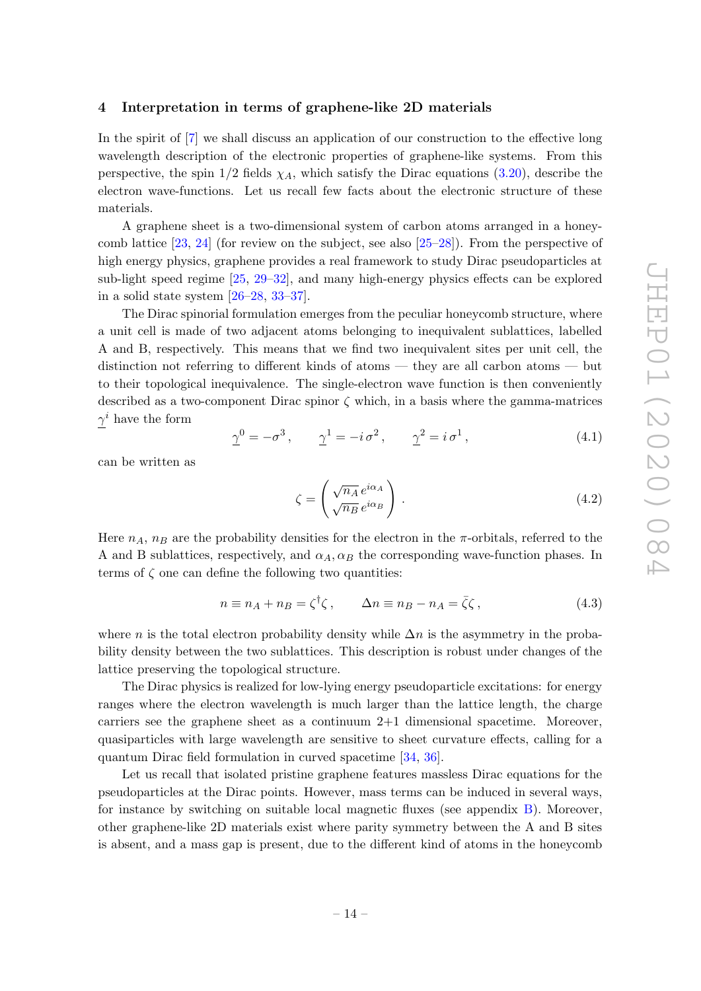#### 4 Interpretation in terms of graphene-like 2D materials

In the spirit of [7] we shall discuss an application of our construction to the effective long wavelength description of the electronic properties of graphene-like systems. From this perspective, the spin  $1/2$  fields  $\chi_A$ , which satisfy the Dirac equations (3.20), describe the electron wave-functions. Let us recall few facts about the electronic structure of these materials.

A graphene sheet is a two-dimensional system of carbon atoms arranged in a honeycomb lattice  $[23, 24]$  (for review on the subject, see also  $[25-28]$ ). From the perspective of high energy physics, graphene provides a real framework to study Dirac pseudoparticles at sub-light speed regime [25, 29–32], and many high-energy physics effects can be explored in a solid state system [26–28, 33–37].

The Dirac spinorial formulation emerges from the peculiar honeycomb structure, where a unit cell is made of two adjacent atoms belonging to inequivalent sublattices, labelled A and B, respectively. This means that we find two inequivalent sites per unit cell, the distinction not referring to different kinds of atoms — they are all carbon atoms — but to their topological inequivalence. The single-electron wave function is then conveniently described as a two-component Dirac spinor  $\zeta$  which, in a basis where the gamma-matrices  $\gamma^i$  have the form

$$
\underline{\gamma}^0 = -\sigma^3, \qquad \underline{\gamma}^1 = -i \,\sigma^2, \qquad \underline{\gamma}^2 = i \,\sigma^1,\tag{4.1}
$$

can be written as

$$
\zeta = \left(\frac{\sqrt{n_A}}{\sqrt{n_B}} e^{i\alpha_A} \right). \tag{4.2}
$$

Here  $n_A$ ,  $n_B$  are the probability densities for the electron in the  $\pi$ -orbitals, referred to the A and B sublattices, respectively, and  $\alpha_A, \alpha_B$  the corresponding wave-function phases. In terms of  $\zeta$  one can define the following two quantities:

$$
n \equiv n_A + n_B = \zeta^{\dagger} \zeta, \qquad \Delta n \equiv n_B - n_A = \bar{\zeta} \zeta, \qquad (4.3)
$$

where n is the total electron probability density while  $\Delta n$  is the asymmetry in the probability density between the two sublattices. This description is robust under changes of the lattice preserving the topological structure.

The Dirac physics is realized for low-lying energy pseudoparticle excitations: for energy ranges where the electron wavelength is much larger than the lattice length, the charge carriers see the graphene sheet as a continuum 2+1 dimensional spacetime. Moreover, quasiparticles with large wavelength are sensitive to sheet curvature effects, calling for a quantum Dirac field formulation in curved spacetime [34, 36].

Let us recall that isolated pristine graphene features massless Dirac equations for the pseudoparticles at the Dirac points. However, mass terms can be induced in several ways, for instance by switching on suitable local magnetic fluxes (see appendix B). Moreover, other graphene-like 2D materials exist where parity symmetry between the A and B sites is absent, and a mass gap is present, due to the different kind of atoms in the honeycomb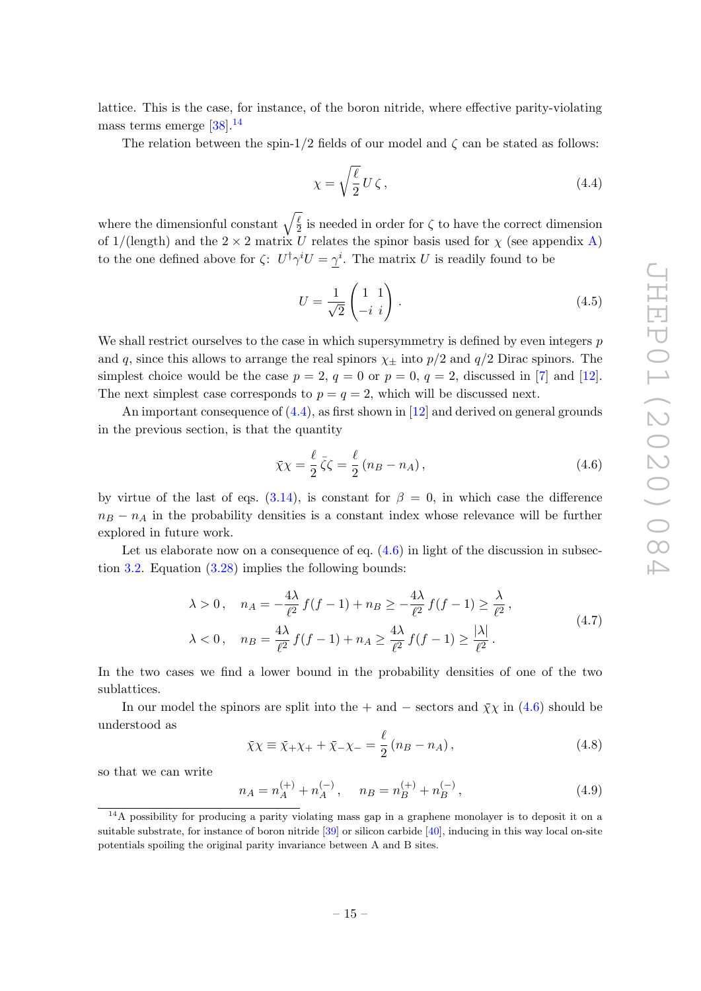lattice. This is the case, for instance, of the boron nitride, where effective parity-violating mass terms emerge  $[38]$ <sup>14</sup>

The relation between the spin-1/2 fields of our model and  $\zeta$  can be stated as follows:

$$
\chi = \sqrt{\frac{\ell}{2}} U \zeta \,,\tag{4.4}
$$

where the dimensionful constant  $\sqrt{\frac{\ell}{2}}$  $\frac{\ell}{2}$  is needed in order for  $\zeta$  to have the correct dimension of  $1/(\text{length})$  and the  $2 \times 2$  matrix U relates the spinor basis used for  $\chi$  (see appendix A) to the one defined above for  $\zeta: U^{\dagger} \gamma^i U = \gamma^i$ . The matrix U is readily found to be

$$
U = \frac{1}{\sqrt{2}} \begin{pmatrix} 1 & 1 \\ -i & i \end{pmatrix} . \tag{4.5}
$$

We shall restrict ourselves to the case in which supersymmetry is defined by even integers  $p$ and q, since this allows to arrange the real spinors  $\chi_{\pm}$  into  $p/2$  and  $q/2$  Dirac spinors. The simplest choice would be the case  $p = 2$ ,  $q = 0$  or  $p = 0$ ,  $q = 2$ , discussed in [7] and [12]. The next simplest case corresponds to  $p = q = 2$ , which will be discussed next.

An important consequence of (4.4), as first shown in [12] and derived on general grounds in the previous section, is that the quantity

$$
\bar{\chi}\chi = \frac{\ell}{2}\bar{\zeta}\zeta = \frac{\ell}{2}\left(n_B - n_A\right),\tag{4.6}
$$

by virtue of the last of eqs. (3.14), is constant for  $\beta = 0$ , in which case the difference  $n_B - n_A$  in the probability densities is a constant index whose relevance will be further explored in future work.

Let us elaborate now on a consequence of eq.  $(4.6)$  in light of the discussion in subsection 3.2. Equation  $(3.28)$  implies the following bounds:

$$
\lambda > 0, \quad n_A = -\frac{4\lambda}{\ell^2} f(f - 1) + n_B \ge -\frac{4\lambda}{\ell^2} f(f - 1) \ge \frac{\lambda}{\ell^2},
$$
  
 
$$
\lambda < 0, \quad n_B = \frac{4\lambda}{\ell^2} f(f - 1) + n_A \ge \frac{4\lambda}{\ell^2} f(f - 1) \ge \frac{|\lambda|}{\ell^2}.
$$
 (4.7)

In the two cases we find a lower bound in the probability densities of one of the two sublattices.

In our model the spinors are split into the + and – sectors and  $\bar{\chi}\chi$  in (4.6) should be understood as

$$
\bar{\chi}\chi \equiv \bar{\chi}_{+}\chi_{+} + \bar{\chi}_{-}\chi_{-} = \frac{\ell}{2} (n_{B} - n_{A}), \qquad (4.8)
$$

so that we can write

$$
n_A = n_A^{(+)} + n_A^{(-)}, \quad n_B = n_B^{(+)} + n_B^{(-)}, \tag{4.9}
$$

<sup>&</sup>lt;sup>14</sup>A possibility for producing a parity violating mass gap in a graphene monolayer is to deposit it on a suitable substrate, for instance of boron nitride [39] or silicon carbide [40], inducing in this way local on-site potentials spoiling the original parity invariance between A and B sites.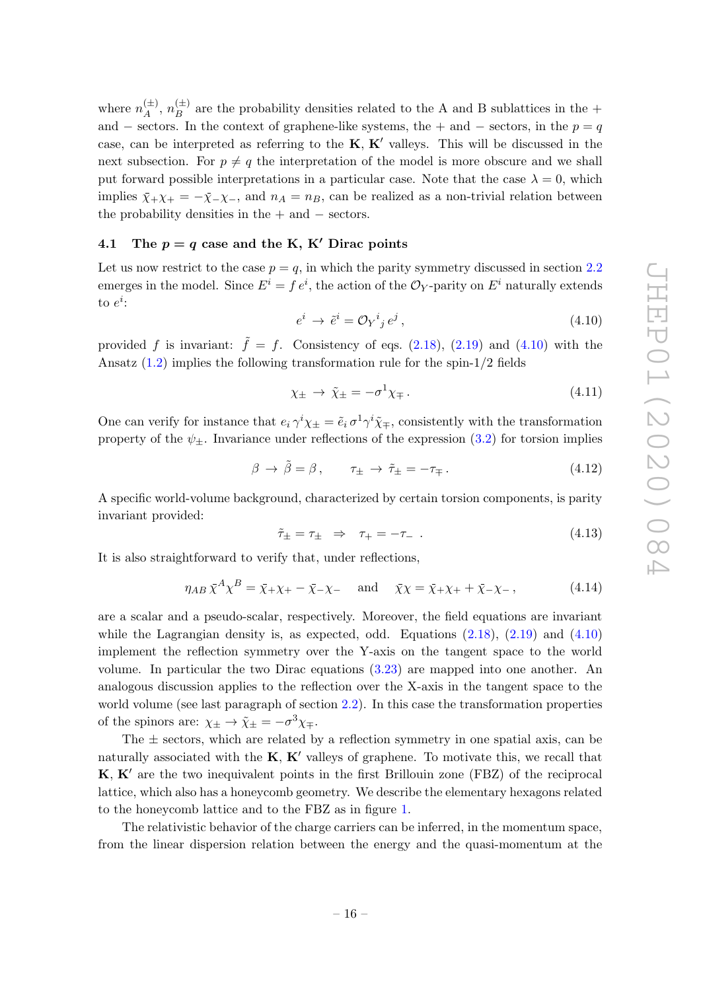where  $n_A^{(\pm)}$  $\binom{(\pm)}{A},\,n_{B}^{(\pm)}$  $B_B^{(\pm)}$  are the probability densities related to the A and B sublattices in the + and – sectors. In the context of graphene-like systems, the + and – sectors, in the  $p = q$ case, can be interpreted as referring to the  $K, K'$  valleys. This will be discussed in the next subsection. For  $p \neq q$  the interpretation of the model is more obscure and we shall put forward possible interpretations in a particular case. Note that the case  $\lambda = 0$ , which implies  $\bar{\chi}_+ \chi_+ = -\bar{\chi}_- \chi_-,$  and  $n_A = n_B$ , can be realized as a non-trivial relation between the probability densities in the  $+$  and  $-$  sectors.

#### 4.1 The  $p = q$  case and the K, K' Dirac points

Let us now restrict to the case  $p = q$ , in which the parity symmetry discussed in section 2.2 emerges in the model. Since  $E^i = f e^i$ , the action of the  $\mathcal{O}_Y$ -parity on  $E^i$  naturally extends to  $e^i$ :

$$
e^i \to \tilde{e}^i = \mathcal{O}_Y{}^i{}_j e^j \,, \tag{4.10}
$$

provided f is invariant:  $\tilde{f} = f$ . Consistency of eqs. (2.18), (2.19) and (4.10) with the Ansatz  $(1.2)$  implies the following transformation rule for the spin-1/2 fields

$$
\chi_{\pm} \to \tilde{\chi}_{\pm} = -\sigma^1 \chi_{\mp} \,. \tag{4.11}
$$

One can verify for instance that  $e_i \gamma^i \chi_{\pm} = \tilde{e}_i \sigma^1 \gamma^i \tilde{\chi}_{\mp}$ , consistently with the transformation property of the  $\psi_+$ . Invariance under reflections of the expression (3.2) for torsion implies

$$
\beta \to \tilde{\beta} = \beta, \qquad \tau_{\pm} \to \tilde{\tau}_{\pm} = -\tau_{\mp}.
$$
\n(4.12)

A specific world-volume background, characterized by certain torsion components, is parity invariant provided:

$$
\tilde{\tau}_{\pm} = \tau_{\pm} \Rightarrow \tau_{+} = -\tau_{-} \tag{4.13}
$$

It is also straightforward to verify that, under reflections,

$$
\eta_{AB} \,\bar{\chi}^A \chi^B = \bar{\chi}_+ \chi_+ - \bar{\chi}_- \chi_- \quad \text{and} \quad \bar{\chi} \chi = \bar{\chi}_+ \chi_+ + \bar{\chi}_- \chi_- \,, \tag{4.14}
$$

are a scalar and a pseudo-scalar, respectively. Moreover, the field equations are invariant while the Lagrangian density is, as expected, odd. Equations  $(2.18)$ ,  $(2.19)$  and  $(4.10)$ implement the reflection symmetry over the Y-axis on the tangent space to the world volume. In particular the two Dirac equations (3.23) are mapped into one another. An analogous discussion applies to the reflection over the X-axis in the tangent space to the world volume (see last paragraph of section 2.2). In this case the transformation properties of the spinors are:  $\chi_{\pm} \to \tilde{\chi}_{\pm} = -\sigma^3 \chi_{\mp}$ .

The  $\pm$  sectors, which are related by a reflection symmetry in one spatial axis, can be naturally associated with the  $K, K'$  valleys of graphene. To motivate this, we recall that  $K, K'$  are the two inequivalent points in the first Brillouin zone (FBZ) of the reciprocal lattice, which also has a honeycomb geometry. We describe the elementary hexagons related to the honeycomb lattice and to the FBZ as in figure 1.

The relativistic behavior of the charge carriers can be inferred, in the momentum space, from the linear dispersion relation between the energy and the quasi-momentum at the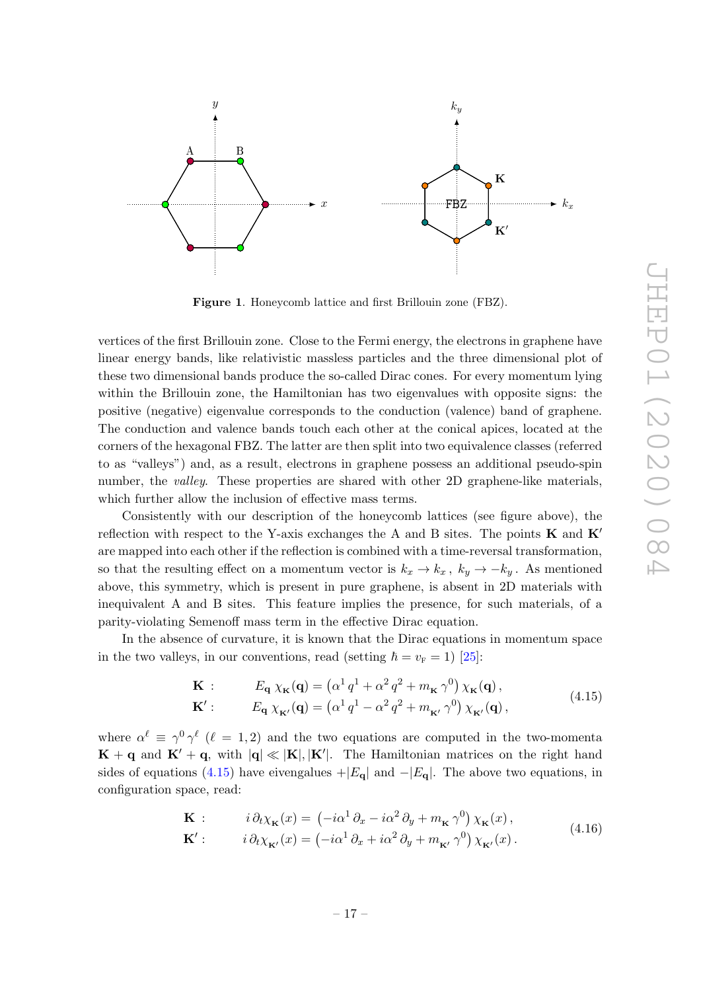

Figure 1. Honeycomb lattice and first Brillouin zone (FBZ).

vertices of the first Brillouin zone. Close to the Fermi energy, the electrons in graphene have linear energy bands, like relativistic massless particles and the three dimensional plot of these two dimensional bands produce the so-called Dirac cones. For every momentum lying within the Brillouin zone, the Hamiltonian has two eigenvalues with opposite signs: the positive (negative) eigenvalue corresponds to the conduction (valence) band of graphene. The conduction and valence bands touch each other at the conical apices, located at the corners of the hexagonal FBZ. The latter are then split into two equivalence classes (referred to as "valleys") and, as a result, electrons in graphene possess an additional pseudo-spin number, the *valley*. These properties are shared with other 2D graphene-like materials, which further allow the inclusion of effective mass terms.

Consistently with our description of the honeycomb lattices (see figure above), the reflection with respect to the Y-axis exchanges the A and B sites. The points  $\bf{K}$  and  $\bf{K}'$ are mapped into each other if the reflection is combined with a time-reversal transformation, so that the resulting effect on a momentum vector is  $k_x \to k_x$ ,  $k_y \to -k_y$ . As mentioned above, this symmetry, which is present in pure graphene, is absent in 2D materials with inequivalent A and B sites. This feature implies the presence, for such materials, of a parity-violating Semenoff mass term in the effective Dirac equation.

In the absence of curvature, it is known that the Dirac equations in momentum space in the two valleys, in our conventions, read (setting  $\hbar = v_{\rm F} = 1$ ) [25]:

$$
\mathbf{K} : E_{\mathbf{q}} \chi_{\mathbf{K}}(\mathbf{q}) = (\alpha^1 q^1 + \alpha^2 q^2 + m_{\mathbf{K}} \gamma^0) \chi_{\mathbf{K}}(\mathbf{q}),
$$
  
\n
$$
\mathbf{K}' : E_{\mathbf{q}} \chi_{\mathbf{K}'}(\mathbf{q}) = (\alpha^1 q^1 - \alpha^2 q^2 + m_{\mathbf{K}'} \gamma^0) \chi_{\mathbf{K}'}(\mathbf{q}),
$$
\n(4.15)

where  $\alpha^{\ell} \equiv \gamma^0 \gamma^{\ell}$  ( $\ell = 1, 2$ ) and the two equations are computed in the two-momenta  $\mathbf{K} + \mathbf{q}$  and  $\mathbf{K}' + \mathbf{q}$ , with  $|\mathbf{q}| \ll |\mathbf{K}|, |\mathbf{K}'|$ . The Hamiltonian matrices on the right hand sides of equations (4.15) have eivengalues  $+|E_{q}|$  and  $-|E_{q}|$ . The above two equations, in configuration space, read:

$$
\mathbf{K} : \qquad i \, \partial_t \chi_{\mathbf{K}}(x) = \left( -i\alpha^1 \, \partial_x - i\alpha^2 \, \partial_y + m_{\mathbf{K}} \, \gamma^0 \right) \chi_{\mathbf{K}}(x) \,,
$$
\n
$$
\mathbf{K}' : \qquad i \, \partial_t \chi_{\mathbf{K}'}(x) = \left( -i\alpha^1 \, \partial_x + i\alpha^2 \, \partial_y + m_{\mathbf{K}'} \, \gamma^0 \right) \chi_{\mathbf{K}'}(x) \,. \tag{4.16}
$$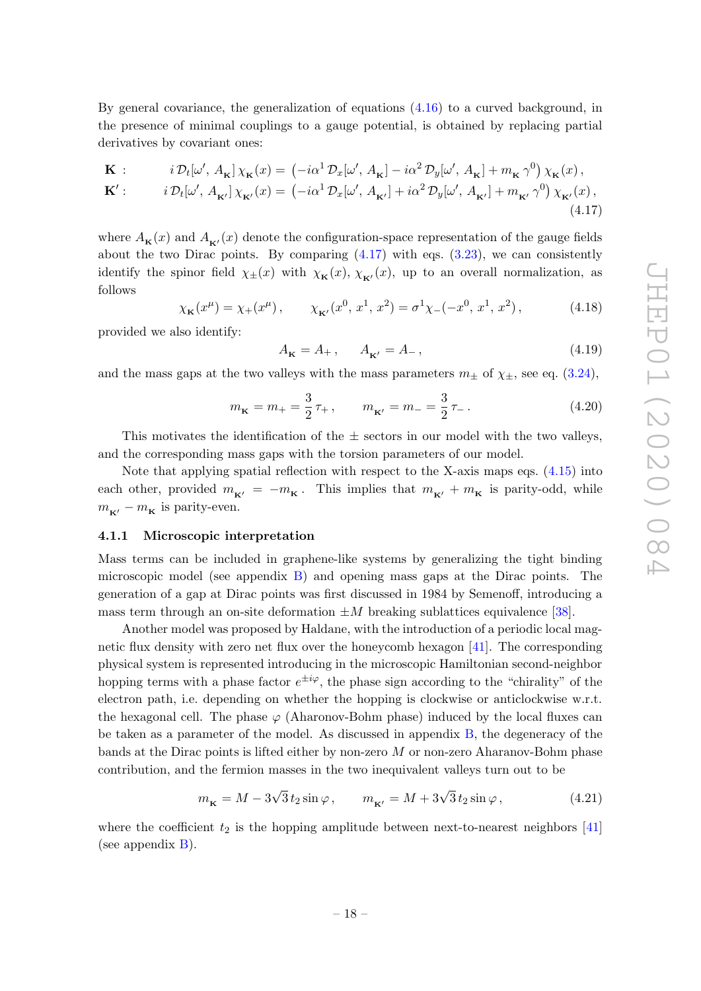By general covariance, the generalization of equations  $(4.16)$  to a curved background, in the presence of minimal couplings to a gauge potential, is obtained by replacing partial derivatives by covariant ones:

$$
\mathbf{K} : \qquad i \mathcal{D}_t[\omega', A_\mathbf{K}] \chi_\mathbf{K}(x) = \left( -i\alpha^1 \mathcal{D}_x[\omega', A_\mathbf{K}] - i\alpha^2 \mathcal{D}_y[\omega', A_\mathbf{K}] + m_\mathbf{K} \gamma^0 \right) \chi_\mathbf{K}(x),
$$
  

$$
\mathbf{K}' : \qquad i \mathcal{D}_t[\omega', A_{\mathbf{K}'}] \chi_{\mathbf{K}'}(x) = \left( -i\alpha^1 \mathcal{D}_x[\omega', A_{\mathbf{K}'}] + i\alpha^2 \mathcal{D}_y[\omega', A_{\mathbf{K}'}] + m_{\mathbf{K}'} \gamma^0 \right) \chi_{\mathbf{K}'}(x),
$$
  
(4.17)

where  $A_{\mathbf{K}}(x)$  and  $A_{\mathbf{K}'}(x)$  denote the configuration-space representation of the gauge fields about the two Dirac points. By comparing  $(4.17)$  with eqs.  $(3.23)$ , we can consistently identify the spinor field  $\chi_{\pm}(x)$  with  $\chi_{\mathbf{K}}(x), \chi_{\mathbf{K}'}(x)$ , up to an overall normalization, as follows

$$
\chi_{\mathbf{K}}(x^{\mu}) = \chi_{+}(x^{\mu}), \qquad \chi_{\mathbf{K}'}(x^{0}, x^{1}, x^{2}) = \sigma^{1}\chi_{-}(-x^{0}, x^{1}, x^{2}), \tag{4.18}
$$

provided we also identify:

$$
A_{\mathbf{K}} = A_+, \qquad A_{\mathbf{K}'} = A_-, \tag{4.19}
$$

and the mass gaps at the two valleys with the mass parameters  $m_{\pm}$  of  $\chi_{\pm}$ , see eq. (3.24),

$$
m_{\mathbf{K}} = m_{+} = \frac{3}{2}\,\tau_{+}\,, \qquad m_{\mathbf{K}'} = m_{-} = \frac{3}{2}\,\tau_{-}\,.
$$
 (4.20)

This motivates the identification of the  $\pm$  sectors in our model with the two valleys, and the corresponding mass gaps with the torsion parameters of our model.

Note that applying spatial reflection with respect to the X-axis maps eqs. (4.15) into each other, provided  $m_{K'} = -m_K$ . This implies that  $m_{K'} + m_K$  is parity-odd, while  $m_{\kappa}$  –  $m_{\kappa}$  is parity-even.

#### 4.1.1 Microscopic interpretation

Mass terms can be included in graphene-like systems by generalizing the tight binding microscopic model (see appendix B) and opening mass gaps at the Dirac points. The generation of a gap at Dirac points was first discussed in 1984 by Semenoff, introducing a mass term through an on-site deformation  $\pm M$  breaking sublattices equivalence [38].

Another model was proposed by Haldane, with the introduction of a periodic local magnetic flux density with zero net flux over the honeycomb hexagon [41]. The corresponding physical system is represented introducing in the microscopic Hamiltonian second-neighbor hopping terms with a phase factor  $e^{\pm i\varphi}$ , the phase sign according to the "chirality" of the electron path, i.e. depending on whether the hopping is clockwise or anticlockwise w.r.t. the hexagonal cell. The phase  $\varphi$  (Aharonov-Bohm phase) induced by the local fluxes can be taken as a parameter of the model. As discussed in appendix B, the degeneracy of the bands at the Dirac points is lifted either by non-zero  $M$  or non-zero Aharanov-Bohm phase contribution, and the fermion masses in the two inequivalent valleys turn out to be

$$
m_{\mathbf{K}} = M - 3\sqrt{3} t_2 \sin \varphi , \qquad m_{\mathbf{K}'} = M + 3\sqrt{3} t_2 \sin \varphi , \qquad (4.21)
$$

where the coefficient  $t_2$  is the hopping amplitude between next-to-nearest neighbors [41] (see appendix B).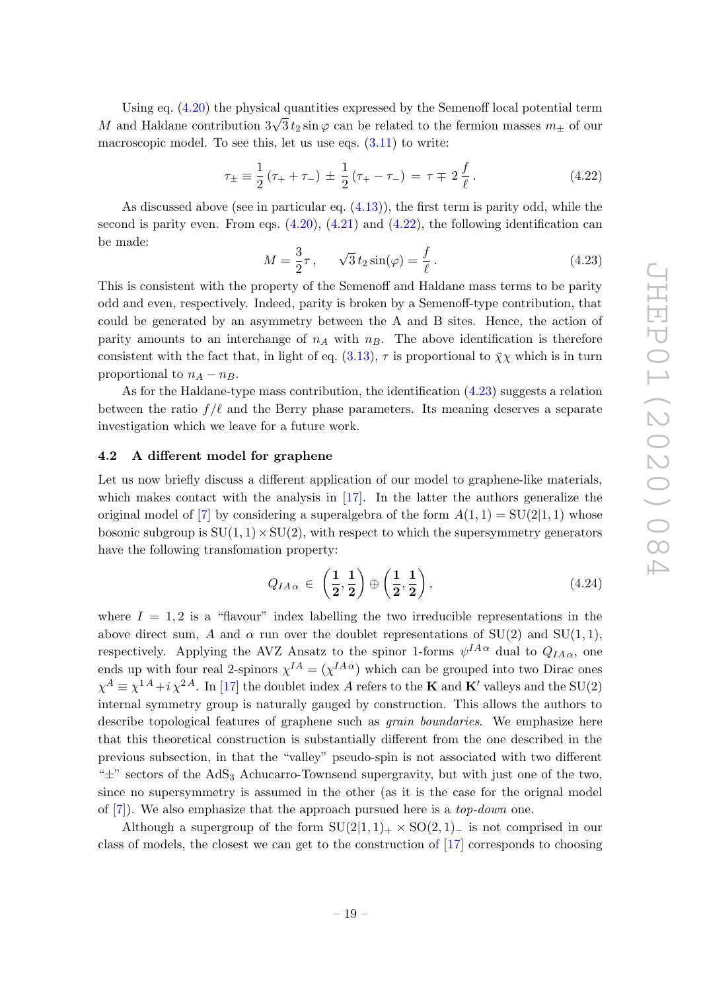Using eq. (4.20) the physical quantities expressed by the Semenoff local potential term Using eq. (4.20) the physical quantities expressed by the Semenon local potential term  $M$  and Haldane contribution  $3\sqrt{3}t_2 \sin \varphi$  can be related to the fermion masses  $m_{\pm}$  of our macroscopic model. To see this, let us use eqs.  $(3.11)$  to write:

$$
\tau_{\pm} \equiv \frac{1}{2} \left( \tau_{+} + \tau_{-} \right) \pm \frac{1}{2} \left( \tau_{+} - \tau_{-} \right) = \tau \mp 2 \frac{f}{\ell} \,. \tag{4.22}
$$

As discussed above (see in particular eq. (4.13)), the first term is parity odd, while the second is parity even. From eqs.  $(4.20)$ ,  $(4.21)$  and  $(4.22)$ , the following identification can be made:

$$
M = \frac{3}{2}\tau, \qquad \sqrt{3}t_2\sin(\varphi) = \frac{f}{\ell} \,. \tag{4.23}
$$

This is consistent with the property of the Semenoff and Haldane mass terms to be parity odd and even, respectively. Indeed, parity is broken by a Semenoff-type contribution, that could be generated by an asymmetry between the A and B sites. Hence, the action of parity amounts to an interchange of  $n_A$  with  $n_B$ . The above identification is therefore consistent with the fact that, in light of eq. (3.13),  $\tau$  is proportional to  $\bar{\chi}\chi$  which is in turn proportional to  $n_A - n_B$ .

As for the Haldane-type mass contribution, the identification (4.23) suggests a relation between the ratio  $f/\ell$  and the Berry phase parameters. Its meaning deserves a separate investigation which we leave for a future work.

# 4.2 A different model for graphene

Let us now briefly discuss a different application of our model to graphene-like materials, which makes contact with the analysis in [17]. In the latter the authors generalize the original model of [7] by considering a superalgebra of the form  $A(1,1) = SU(2|1,1)$  whose bosonic subgroup is  $SU(1, 1) \times SU(2)$ , with respect to which the supersymmetry generators have the following transfomation property:

$$
Q_{IA\alpha} \in \left(\frac{1}{2}, \frac{1}{2}\right) \oplus \left(\frac{1}{2}, \frac{1}{2}\right), \tag{4.24}
$$

where  $I = 1, 2$  is a "flavour" index labelling the two irreducible representations in the above direct sum, A and  $\alpha$  run over the doublet representations of SU(2) and SU(1,1), respectively. Applying the AVZ Ansatz to the spinor 1-forms  $\psi^{IA\alpha}$  dual to  $Q_{IA\alpha}$ , one ends up with four real 2-spinors  $\chi^{IA} = (\chi^{IA}{}^{\alpha})$  which can be grouped into two Dirac ones  $\chi^A \equiv \chi^{1A} + i \chi^{2A}$ . In [17] the doublet index A refers to the **K** and **K**' valleys and the SU(2) internal symmetry group is naturally gauged by construction. This allows the authors to describe topological features of graphene such as grain boundaries. We emphasize here that this theoretical construction is substantially different from the one described in the previous subsection, in that the "valley" pseudo-spin is not associated with two different " $\pm$ " sectors of the AdS<sub>3</sub> Achucarro-Townsend supergravity, but with just one of the two, since no supersymmetry is assumed in the other (as it is the case for the orignal model of  $[7]$ . We also emphasize that the approach pursued here is a *top-down* one.

Although a supergroup of the form  $SU(2|1, 1)_+ \times SO(2, 1)_-$  is not comprised in our class of models, the closest we can get to the construction of [17] corresponds to choosing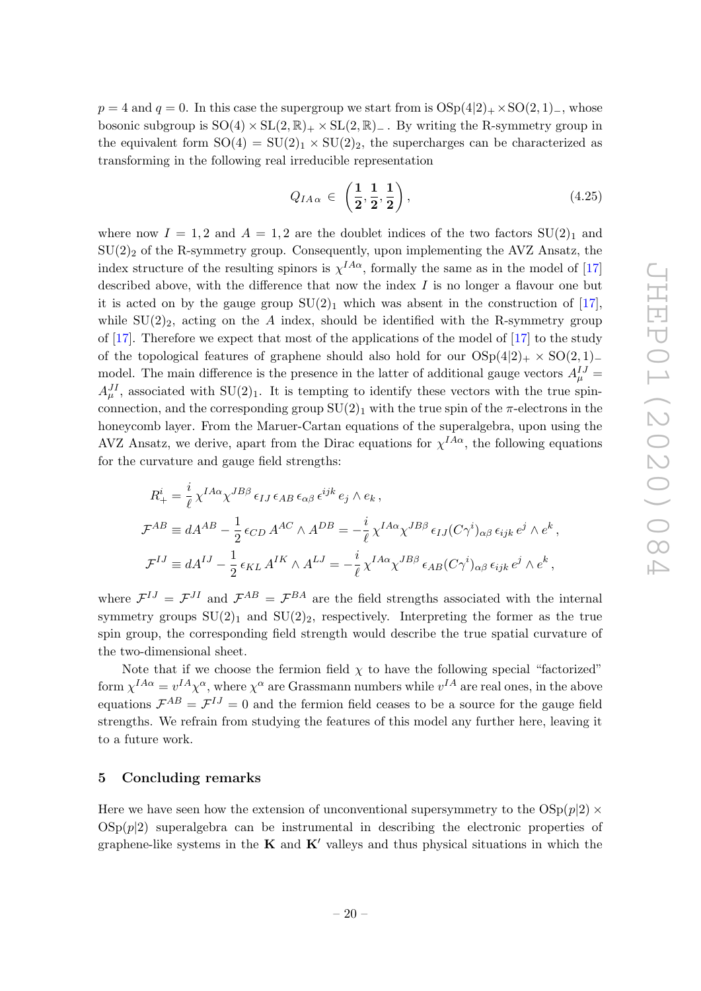$p = 4$  and  $q = 0$ . In this case the supergroup we start from is  $OSp(4|2)$  +  $\times$  SO(2, 1)−, whose bosonic subgroup is  $SO(4) \times SL(2,\mathbb{R})_+ \times SL(2,\mathbb{R})_-$ . By writing the R-symmetry group in the equivalent form  $SO(4) = SU(2)_1 \times SU(2)_2$ , the supercharges can be characterized as transforming in the following real irreducible representation

$$
Q_{IA\alpha} \in \left(\frac{1}{2}, \frac{1}{2}, \frac{1}{2}\right),\tag{4.25}
$$

where now  $I = 1, 2$  and  $A = 1, 2$  are the doublet indices of the two factors  $SU(2)_1$  and  $SU(2)_2$  of the R-symmetry group. Consequently, upon implementing the AVZ Ansatz, the index structure of the resulting spinors is  $\chi^{IA\alpha}$ , formally the same as in the model of [17] described above, with the difference that now the index  $I$  is no longer a flavour one but it is acted on by the gauge group  $SU(2)_1$  which was absent in the construction of [17], while  $SU(2)_2$ , acting on the A index, should be identified with the R-symmetry group of  $[17]$ . Therefore we expect that most of the applications of the model of  $[17]$  to the study of the topological features of graphene should also hold for our  $OSp(4|2)$   $\times$   $SO(2, 1)$ − model. The main difference is the presence in the latter of additional gauge vectors  $A^{IJ}_{\mu}$  =  $A_{\mu}^{JI}$ , associated with SU(2)<sub>1</sub>. It is tempting to identify these vectors with the true spinconnection, and the corresponding group  $SU(2)_1$  with the true spin of the  $\pi$ -electrons in the honeycomb layer. From the Maruer-Cartan equations of the superalgebra, upon using the AVZ Ansatz, we derive, apart from the Dirac equations for  $\chi^{IA\alpha}$ , the following equations for the curvature and gauge field strengths:

$$
R_{+}^{i} = \frac{i}{\ell} \chi^{IA\alpha} \chi^{JB\beta} \epsilon_{IJ} \epsilon_{AB} \epsilon_{\alpha\beta} \epsilon^{ijk} e_j \wedge e_k ,
$$
  
\n
$$
\mathcal{F}^{AB} \equiv dA^{AB} - \frac{1}{2} \epsilon_{CD} A^{AC} \wedge A^{DB} = -\frac{i}{\ell} \chi^{IA\alpha} \chi^{JB\beta} \epsilon_{IJ} (C\gamma^{i})_{\alpha\beta} \epsilon_{ijk} e^j \wedge e^k ,
$$
  
\n
$$
\mathcal{F}^{IJ} \equiv dA^{IJ} - \frac{1}{2} \epsilon_{KL} A^{IK} \wedge A^{LJ} = -\frac{i}{\ell} \chi^{IA\alpha} \chi^{JB\beta} \epsilon_{AB} (C\gamma^{i})_{\alpha\beta} \epsilon_{ijk} e^j \wedge e^k ,
$$

where  $\mathcal{F}^{IJ} = \mathcal{F}^{JI}$  and  $\mathcal{F}^{AB} = \mathcal{F}^{BA}$  are the field strengths associated with the internal symmetry groups  $SU(2)_1$  and  $SU(2)_2$ , respectively. Interpreting the former as the true spin group, the corresponding field strength would describe the true spatial curvature of the two-dimensional sheet.

Note that if we choose the fermion field  $\chi$  to have the following special "factorized" form  $\chi^{IA\alpha} = v^{IA}\chi^{\alpha}$ , where  $\chi^{\alpha}$  are Grassmann numbers while  $v^{IA}$  are real ones, in the above equations  $\mathcal{F}^{AB} = \mathcal{F}^{IJ} = 0$  and the fermion field ceases to be a source for the gauge field strengths. We refrain from studying the features of this model any further here, leaving it to a future work.

# 5 Concluding remarks

Here we have seen how the extension of unconventional supersymmetry to the  $OSp(p|2) \times$  $\text{OSp}(p|2)$  superalgebra can be instrumental in describing the electronic properties of graphene-like systems in the  $K$  and  $K'$  valleys and thus physical situations in which the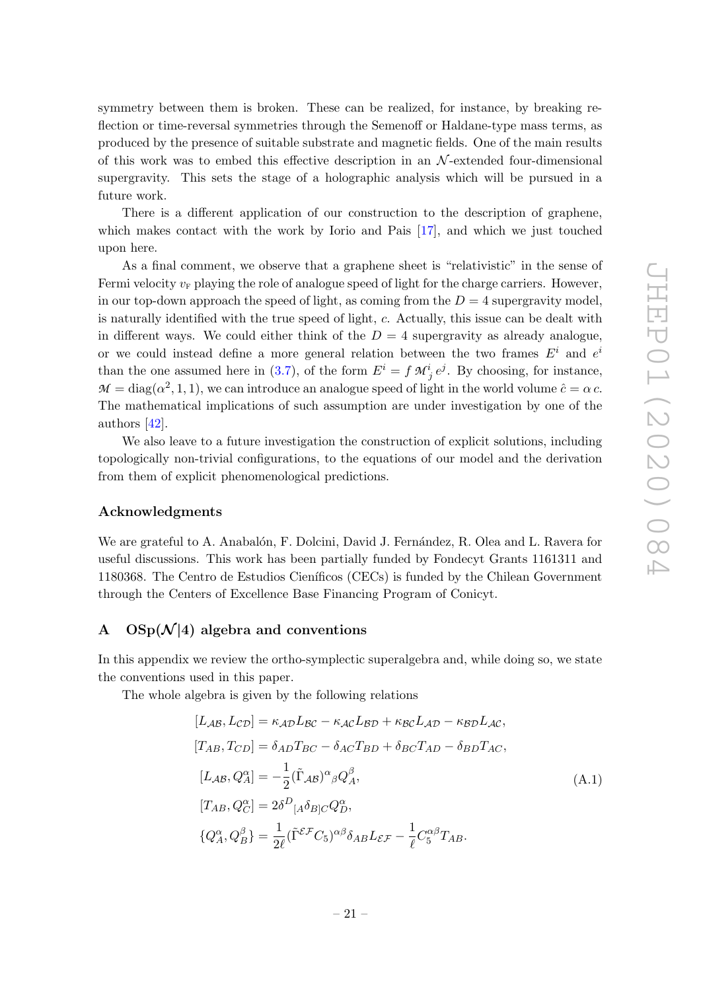symmetry between them is broken. These can be realized, for instance, by breaking reflection or time-reversal symmetries through the Semenoff or Haldane-type mass terms, as produced by the presence of suitable substrate and magnetic fields. One of the main results of this work was to embed this effective description in an  $N$ -extended four-dimensional supergravity. This sets the stage of a holographic analysis which will be pursued in a future work.

There is a different application of our construction to the description of graphene, which makes contact with the work by Iorio and Pais [17], and which we just touched upon here.

As a final comment, we observe that a graphene sheet is "relativistic" in the sense of Fermi velocity  $v_F$  playing the role of analogue speed of light for the charge carriers. However, in our top-down approach the speed of light, as coming from the  $D = 4$  supergravity model, is naturally identified with the true speed of light, c. Actually, this issue can be dealt with in different ways. We could either think of the  $D = 4$  supergravity as already analogue, or we could instead define a more general relation between the two frames  $E^i$  and  $e^i$ than the one assumed here in (3.7), of the form  $E^i = f M^i_{j} e^j$ . By choosing, for instance,  $M = \text{diag}(\alpha^2, 1, 1)$ , we can introduce an analogue speed of light in the world volume  $\hat{c} = \alpha c$ . The mathematical implications of such assumption are under investigation by one of the authors [42].

We also leave to a future investigation the construction of explicit solutions, including topologically non-trivial configurations, to the equations of our model and the derivation from them of explicit phenomenological predictions.

#### Acknowledgments

We are grateful to A. Anabalón, F. Dolcini, David J. Fernández, R. Olea and L. Ravera for useful discussions. This work has been partially funded by Fondecyt Grants 1161311 and 1180368. The Centro de Estudios Cien´ıficos (CECs) is funded by the Chilean Government through the Centers of Excellence Base Financing Program of Conicyt.

# A  $OSp(\mathcal{N}|4)$  algebra and conventions

In this appendix we review the ortho-symplectic superalgebra and, while doing so, we state the conventions used in this paper.

The whole algebra is given by the following relations

$$
[L_{AB}, L_{CD}] = \kappa_{AD} L_{BC} - \kappa_{AC} L_{BD} + \kappa_{BC} L_{AD} - \kappa_{BD} L_{AC},
$$
  
\n
$$
[T_{AB}, T_{CD}] = \delta_{AD} T_{BC} - \delta_{AC} T_{BD} + \delta_{BC} T_{AD} - \delta_{BD} T_{AC},
$$
  
\n
$$
[L_{AB}, Q_A^{\alpha}] = -\frac{1}{2} (\tilde{\Gamma}_{AB})^{\alpha}{}_{\beta} Q_A^{\beta},
$$
  
\n
$$
[T_{AB}, Q_C^{\alpha}] = 2\delta^D{}_{[A} \delta_{B]C} Q_D^{\alpha},
$$
  
\n
$$
\{Q_A^{\alpha}, Q_B^{\beta}\} = \frac{1}{2\ell} (\tilde{\Gamma}^{E} C_5)^{\alpha\beta} \delta_{AB} L_{EF} - \frac{1}{\ell} C_5^{\alpha\beta} T_{AB}.
$$
  
\n(A.1)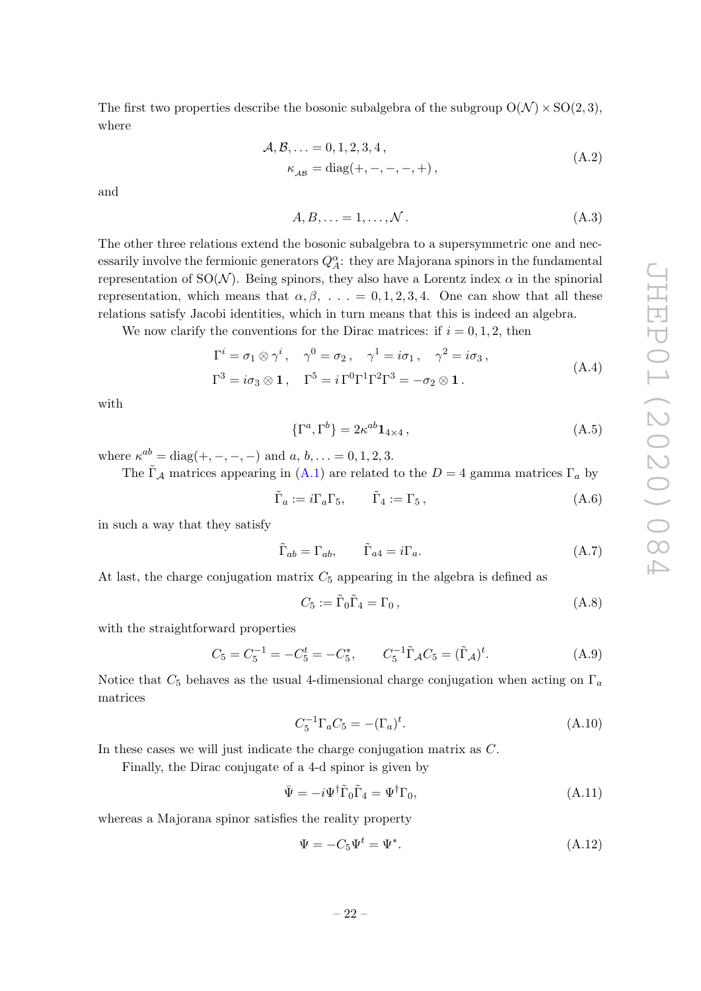The first two properties describe the bosonic subalgebra of the subgroup  $O(N) \times SO(2, 3)$ , where

$$
\mathcal{A}, \mathcal{B}, \ldots = 0, 1, 2, 3, 4, \n\kappa_{\mathcal{AB}} = \text{diag}(+,-,-,-,+),
$$
\n(A.2)

and

$$
A, B, \ldots = 1, \ldots, \mathcal{N} \,. \tag{A.3}
$$

The other three relations extend the bosonic subalgebra to a supersymmetric one and necessarily involve the fermionic generators  $Q_A^{\alpha}$ : they are Majorana spinors in the fundamental representation of SO( $\mathcal{N}$ ). Being spinors, they also have a Lorentz index  $\alpha$  in the spinorial representation, which means that  $\alpha, \beta, \ldots = 0, 1, 2, 3, 4$ . One can show that all these relations satisfy Jacobi identities, which in turn means that this is indeed an algebra.

We now clarify the conventions for the Dirac matrices: if  $i = 0, 1, 2$ , then

$$
\Gamma^{i} = \sigma_{1} \otimes \gamma^{i}, \quad \gamma^{0} = \sigma_{2}, \quad \gamma^{1} = i\sigma_{1}, \quad \gamma^{2} = i\sigma_{3},
$$
  

$$
\Gamma^{3} = i\sigma_{3} \otimes \mathbf{1}, \quad \Gamma^{5} = i\Gamma^{0}\Gamma^{1}\Gamma^{2}\Gamma^{3} = -\sigma_{2} \otimes \mathbf{1}.
$$
 (A.4)

with

$$
\{\Gamma^a, \Gamma^b\} = 2\kappa^{ab} \mathbf{1}_{4 \times 4} ,\tag{A.5}
$$

where  $\kappa^{ab} = \text{diag}(+,-,-,-)$  and  $a, b, ... = 0, 1, 2, 3$ .

The  $\tilde{\Gamma}_A$  matrices appearing in (A.1) are related to the  $D = 4$  gamma matrices  $\Gamma_a$  by

$$
\tilde{\Gamma}_a := i \Gamma_a \Gamma_5, \qquad \tilde{\Gamma}_4 := \Gamma_5, \tag{A.6}
$$

in such a way that they satisfy

$$
\tilde{\Gamma}_{ab} = \Gamma_{ab}, \qquad \tilde{\Gamma}_{a4} = i\Gamma_a. \tag{A.7}
$$

At last, the charge conjugation matrix  $C_5$  appearing in the algebra is defined as

$$
C_5 := \tilde{\Gamma}_0 \tilde{\Gamma}_4 = \Gamma_0, \qquad (A.8)
$$

with the straightforward properties

$$
C_5 = C_5^{-1} = -C_5^t = -C_5^*, \qquad C_5^{-1} \tilde{\Gamma}_A C_5 = (\tilde{\Gamma}_A)^t. \tag{A.9}
$$

Notice that  $C_5$  behaves as the usual 4-dimensional charge conjugation when acting on  $\Gamma_a$ matrices

$$
C_5^{-1} \Gamma_a C_5 = -(\Gamma_a)^t. \tag{A.10}
$$

In these cases we will just indicate the charge conjugation matrix as C.

Finally, the Dirac conjugate of a 4-d spinor is given by

$$
\bar{\Psi} = -i\Psi^{\dagger}\tilde{\Gamma}_{0}\tilde{\Gamma}_{4} = \Psi^{\dagger}\Gamma_{0},\tag{A.11}
$$

whereas a Majorana spinor satisfies the reality property

$$
\Psi = -C_5 \Psi^t = \Psi^*.
$$
\n(A.12)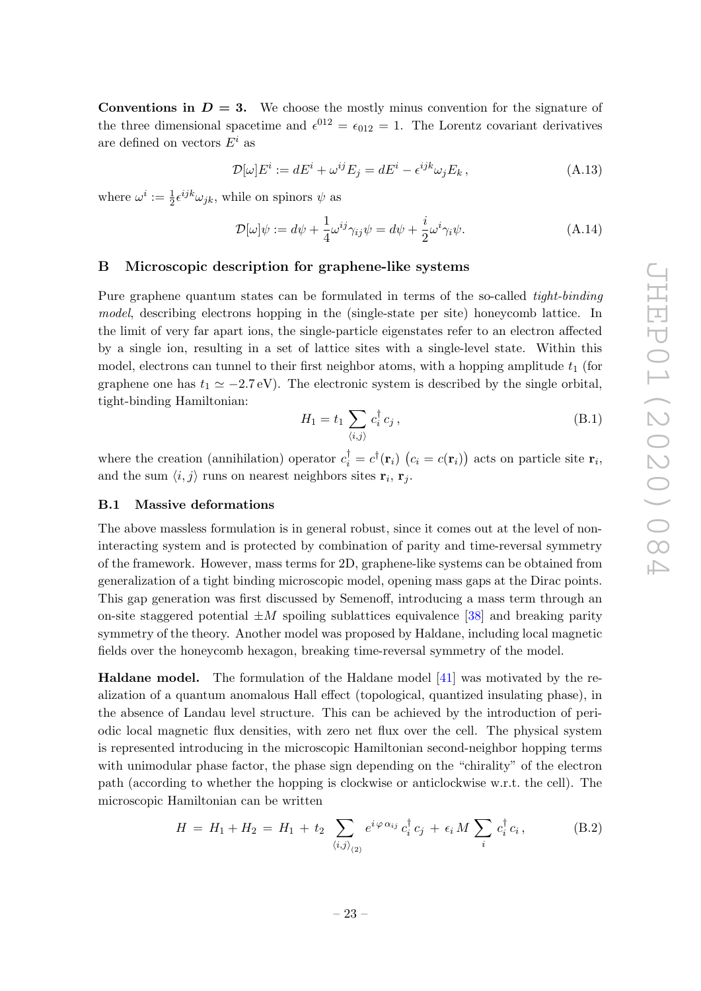**Conventions in**  $D = 3$ **.** We choose the mostly minus convention for the signature of the three dimensional spacetime and  $\epsilon^{012} = \epsilon_{012} = 1$ . The Lorentz covariant derivatives are defined on vectors  $E^i$  as

$$
\mathcal{D}[\omega]E^i := dE^i + \omega^{ij}E_j = dE^i - \epsilon^{ijk}\omega_j E_k, \qquad (A.13)
$$

where  $\omega^i := \frac{1}{2} \epsilon^{ijk} \omega_{jk}$ , while on spinors  $\psi$  as

$$
\mathcal{D}[\omega]\psi := d\psi + \frac{1}{4}\omega^{ij}\gamma_{ij}\psi = d\psi + \frac{i}{2}\omega^i\gamma_i\psi.
$$
 (A.14)

# B Microscopic description for graphene-like systems

Pure graphene quantum states can be formulated in terms of the so-called *tight-binding* model, describing electrons hopping in the (single-state per site) honeycomb lattice. In the limit of very far apart ions, the single-particle eigenstates refer to an electron affected by a single ion, resulting in a set of lattice sites with a single-level state. Within this model, electrons can tunnel to their first neighbor atoms, with a hopping amplitude  $t_1$  (for graphene one has  $t_1 \approx -2.7 \text{ eV}$ . The electronic system is described by the single orbital, tight-binding Hamiltonian:

$$
H_1 = t_1 \sum_{\langle i,j \rangle} c_i^{\dagger} c_j , \qquad (B.1)
$$

where the creation (annihilation) operator  $c_i^{\dagger} = c^{\dagger}(\mathbf{r}_i)$   $(c_i = c(\mathbf{r}_i))$  acts on particle site  $\mathbf{r}_i$ , and the sum  $\langle i, j \rangle$  runs on nearest neighbors sites  $r_i, r_j$ .

#### B.1 Massive deformations

The above massless formulation is in general robust, since it comes out at the level of noninteracting system and is protected by combination of parity and time-reversal symmetry of the framework. However, mass terms for 2D, graphene-like systems can be obtained from generalization of a tight binding microscopic model, opening mass gaps at the Dirac points. This gap generation was first discussed by Semenoff, introducing a mass term through an on-site staggered potential  $\pm M$  spoiling sublattices equivalence [38] and breaking parity symmetry of the theory. Another model was proposed by Haldane, including local magnetic fields over the honeycomb hexagon, breaking time-reversal symmetry of the model.

Haldane model. The formulation of the Haldane model [41] was motivated by the realization of a quantum anomalous Hall effect (topological, quantized insulating phase), in the absence of Landau level structure. This can be achieved by the introduction of periodic local magnetic flux densities, with zero net flux over the cell. The physical system is represented introducing in the microscopic Hamiltonian second-neighbor hopping terms with unimodular phase factor, the phase sign depending on the "chirality" of the electron path (according to whether the hopping is clockwise or anticlockwise w.r.t. the cell). The microscopic Hamiltonian can be written

$$
H = H_1 + H_2 = H_1 + t_2 \sum_{\langle i,j \rangle_{(2)}} e^{i \varphi \alpha_{ij}} c_i^{\dagger} c_j + \epsilon_i M \sum_i c_i^{\dagger} c_i, \qquad (B.2)
$$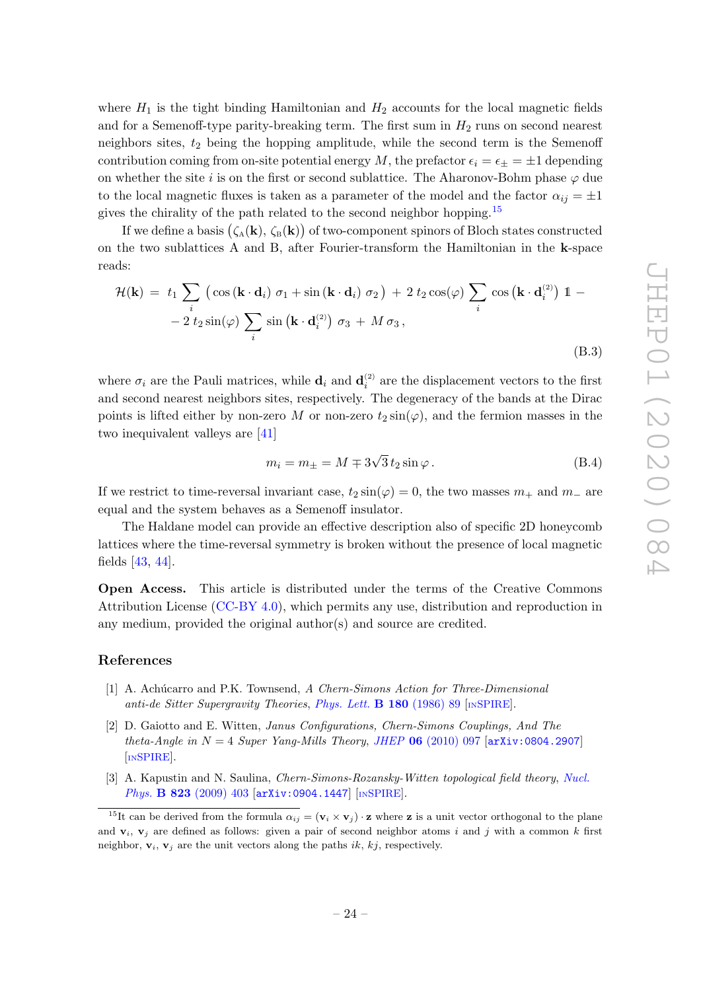where  $H_1$  is the tight binding Hamiltonian and  $H_2$  accounts for the local magnetic fields and for a Semenoff-type parity-breaking term. The first sum in  $H_2$  runs on second nearest neighbors sites,  $t_2$  being the hopping amplitude, while the second term is the Semenoff contribution coming from on-site potential energy M, the prefactor  $\epsilon_i = \epsilon_+ = \pm 1$  depending on whether the site i is on the first or second sublattice. The Aharonov-Bohm phase  $\varphi$  due to the local magnetic fluxes is taken as a parameter of the model and the factor  $\alpha_{ij} = \pm 1$ gives the chirality of the path related to the second neighbor hopping.<sup>15</sup>

If we define a basis  $(\zeta_A(\mathbf{k}), \zeta_B(\mathbf{k}))$  of two-component spinors of Bloch states constructed on the two sublattices A and B, after Fourier-transform the Hamiltonian in the k-space reads:

$$
\mathcal{H}(\mathbf{k}) = t_1 \sum_{i} \left( \cos\left(\mathbf{k} \cdot \mathbf{d}_i\right) \sigma_1 + \sin\left(\mathbf{k} \cdot \mathbf{d}_i\right) \sigma_2 \right) + 2 t_2 \cos(\varphi) \sum_{i} \cos\left(\mathbf{k} \cdot \mathbf{d}_i^{(2)}\right) \mathbb{1} - 2 t_2 \sin(\varphi) \sum_{i} \sin\left(\mathbf{k} \cdot \mathbf{d}_i^{(2)}\right) \sigma_3 + M \sigma_3,
$$
\n(B.3)

where  $\sigma_i$  are the Pauli matrices, while  $\mathbf{d}_i$  and  $\mathbf{d}_i^{(2)}$  are the displacement vectors to the first and second nearest neighbors sites, respectively. The degeneracy of the bands at the Dirac points is lifted either by non-zero M or non-zero  $t_2 \sin(\varphi)$ , and the fermion masses in the two inequivalent valleys are [41]

$$
m_i = m_{\pm} = M \mp 3\sqrt{3} t_2 \sin \varphi.
$$
 (B.4)

If we restrict to time-reversal invariant case,  $t_2 \sin(\varphi) = 0$ , the two masses  $m_+$  and  $m_-$  are equal and the system behaves as a Semenoff insulator.

The Haldane model can provide an effective description also of specific 2D honeycomb lattices where the time-reversal symmetry is broken without the presence of local magnetic fields [43, 44].

Open Access. This article is distributed under the terms of the Creative Commons Attribution License [\(CC-BY 4.0\)](https://creativecommons.org/licenses/by/4.0/), which permits any use, distribution and reproduction in any medium, provided the original author(s) and source are credited.

# References

- [1] A. Achúcarro and P.K. Townsend, A Chern-Simons Action for Three-Dimensional anti-de Sitter Supergravity Theories, [Phys. Lett.](https://doi.org/10.1016/0370-2693(86)90140-1) **B 180** (1986) 89 [IN[SPIRE](https://inspirehep.net/search?p=find+J+%22Phys.Lett.,B180,89%22)].
- [2] D. Gaiotto and E. Witten, Janus Configurations, Chern-Simons Couplings, And The theta-Angle in  $N = 4$  Super Yang-Mills Theory, JHEP 06 [\(2010\) 097](https://doi.org/10.1007/JHEP06(2010)097) [[arXiv:0804.2907](https://arxiv.org/abs/0804.2907)] [IN[SPIRE](https://inspirehep.net/search?p=find+EPRINT+arXiv:0804.2907)].
- [3] A. Kapustin and N. Saulina, *Chern-Simons-Rozansky-Witten topological field theory*, *[Nucl.](https://doi.org/10.1016/j.nuclphysb.2009.07.006)* Phys. B 823 [\(2009\) 403](https://doi.org/10.1016/j.nuclphysb.2009.07.006) [[arXiv:0904.1447](https://arxiv.org/abs/0904.1447)] [IN[SPIRE](https://inspirehep.net/search?p=find+EPRINT+arXiv:0904.1447)].

<sup>&</sup>lt;sup>15</sup>It can be derived from the formula  $\alpha_{ij} = (\mathbf{v}_i \times \mathbf{v}_j) \cdot \mathbf{z}$  where **z** is a unit vector orthogonal to the plane and  $v_i$ ,  $v_j$  are defined as follows: given a pair of second neighbor atoms i and j with a common k first neighbor,  $v_i$ ,  $v_j$  are the unit vectors along the paths ik, kj, respectively.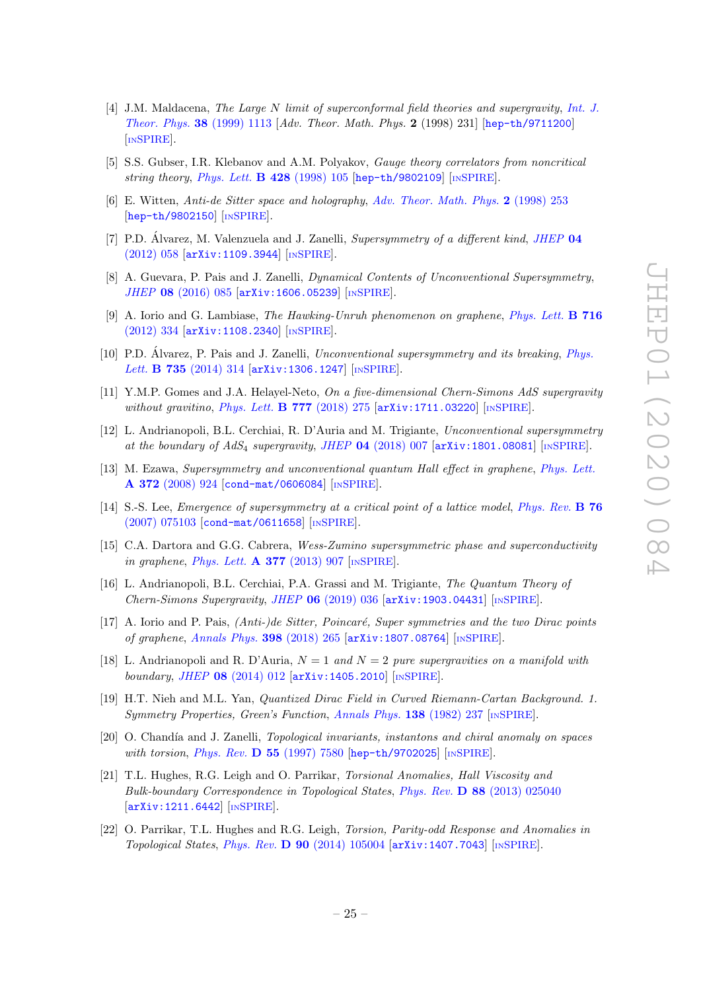- [4] J.M. Maldacena, The Large N limit of superconformal field theories and supergravity, [Int. J.](https://doi.org/10.1023/A:1026654312961) [Theor. Phys.](https://doi.org/10.1023/A:1026654312961) 38 (1999) 1113 [Adv. Theor. Math. Phys. 2 (1998) 231] [[hep-th/9711200](https://arxiv.org/abs/hep-th/9711200)] [IN[SPIRE](https://inspirehep.net/search?p=find+EPRINT+hep-th/9711200)].
- [5] S.S. Gubser, I.R. Klebanov and A.M. Polyakov, Gauge theory correlators from noncritical string theory, [Phys. Lett.](https://doi.org/10.1016/S0370-2693(98)00377-3)  $\bf{B}$  428 (1998) 105 [[hep-th/9802109](https://arxiv.org/abs/hep-th/9802109)] [IN[SPIRE](https://inspirehep.net/search?p=find+EPRINT+hep-th/9802109)].
- [6] E. Witten, Anti-de Sitter space and holography, [Adv. Theor. Math. Phys.](https://doi.org/10.4310/ATMP.1998.v2.n2.a2) 2 (1998) 253 [[hep-th/9802150](https://arxiv.org/abs/hep-th/9802150)] [IN[SPIRE](https://inspirehep.net/search?p=find+EPRINT+hep-th/9802150)].
- [7] P.D. Alvarez, M. Valenzuela and J. Zanelli, Supersymmetry of a different kind, [JHEP](https://doi.org/10.1007/JHEP04(2012)058)  $\mathbf{04}$ [\(2012\) 058](https://doi.org/10.1007/JHEP04(2012)058) [[arXiv:1109.3944](https://arxiv.org/abs/1109.3944)] [IN[SPIRE](https://inspirehep.net/search?p=find+EPRINT+arXiv:1109.3944)].
- [8] A. Guevara, P. Pais and J. Zanelli, Dynamical Contents of Unconventional Supersymmetry, JHEP 08 [\(2016\) 085](https://doi.org/10.1007/JHEP08(2016)085) [[arXiv:1606.05239](https://arxiv.org/abs/1606.05239)] [IN[SPIRE](https://inspirehep.net/search?p=find+EPRINT+arXiv:1606.05239)].
- [9] A. Iorio and G. Lambiase, The Hawking-Unruh phenomenon on graphene, [Phys. Lett.](https://doi.org/10.1016/j.physletb.2012.08.023) B 716 [\(2012\) 334](https://doi.org/10.1016/j.physletb.2012.08.023) [[arXiv:1108.2340](https://arxiv.org/abs/1108.2340)] [IN[SPIRE](https://inspirehep.net/search?p=find+EPRINT+arXiv:1108.2340)].
- [10] P.D. Alvarez, P. Pais and J. Zanelli, Unconventional supersymmetry and its breaking, [Phys.](https://doi.org/10.1016/j.physletb.2014.06.031) Lett. **B 735** [\(2014\) 314](https://doi.org/10.1016/j.physletb.2014.06.031) [[arXiv:1306.1247](https://arxiv.org/abs/1306.1247)] [IN[SPIRE](https://inspirehep.net/search?p=find+EPRINT+arXiv:1306.1247)].
- [11] Y.M.P. Gomes and J.A. Helayel-Neto, On a five-dimensional Chern-Simons AdS supergravity without gravitino, [Phys. Lett.](https://doi.org/10.1016/j.physletb.2017.12.037) **B 777** (2018) 275 [[arXiv:1711.03220](https://arxiv.org/abs/1711.03220)] [IN[SPIRE](https://inspirehep.net/search?p=find+EPRINT+arXiv:1711.03220)].
- [12] L. Andrianopoli, B.L. Cerchiai, R. D'Auria and M. Trigiante, Unconventional supersymmetry at the boundary of  $AdS_4$  supergravity, JHEP 04 [\(2018\) 007](https://doi.org/10.1007/JHEP04(2018)007) [[arXiv:1801.08081](https://arxiv.org/abs/1801.08081)] [IN[SPIRE](https://inspirehep.net/search?p=find+EPRINT+arXiv:1801.08081)].
- [13] M. Ezawa, Supersymmetry and unconventional quantum Hall effect in graphene, [Phys. Lett.](https://doi.org/10.1016/j.physleta.2007.08.071) A 372 [\(2008\) 924](https://doi.org/10.1016/j.physleta.2007.08.071) [[cond-mat/0606084](https://arxiv.org/abs/cond-mat/0606084)] [IN[SPIRE](https://inspirehep.net/search?p=find+J+%22Phys.Lett.,A372,924%22)].
- [14] S.-S. Lee, *Emergence of supersymmetry at a critical point of a lattice model, [Phys. Rev.](https://doi.org/10.1103/PhysRevB.76.075103)* **B** 76 [\(2007\) 075103](https://doi.org/10.1103/PhysRevB.76.075103) [[cond-mat/0611658](https://arxiv.org/abs/cond-mat/0611658)] [IN[SPIRE](https://inspirehep.net/search?p=find+J+%22Phys.Rev.,B76,075103%22)].
- [15] C.A. Dartora and G.G. Cabrera, Wess-Zumino supersymmetric phase and superconductivity in graphene, [Phys. Lett.](https://doi.org/10.1016/j.physleta.2013.02.008)  $\bf{A}$  377 (2013) 907 [IN[SPIRE](https://inspirehep.net/search?p=find+J+%22Phys.Lett.,A377,907%22)].
- [16] L. Andrianopoli, B.L. Cerchiai, P.A. Grassi and M. Trigiante, The Quantum Theory of Chern-Simons Supergravity, JHEP  $06$  [\(2019\) 036](https://doi.org/10.1007/JHEP06(2019)036) [[arXiv:1903.04431](https://arxiv.org/abs/1903.04431)] [IN[SPIRE](https://inspirehep.net/search?p=find+EPRINT+arXiv:1903.04431)].
- $[17]$  A. Iorio and P. Pais,  $(Anti-)de Sitter$ , Poincaré, Super symmetries and the two Dirac points of graphene, [Annals Phys.](https://doi.org/10.1016/j.aop.2018.09.011) 398 (2018) 265 [[arXiv:1807.08764](https://arxiv.org/abs/1807.08764)] [IN[SPIRE](https://inspirehep.net/search?p=find+EPRINT+arXiv:1807.08764)].
- [18] L. Andrianopoli and R. D'Auria,  $N = 1$  and  $N = 2$  pure supergravities on a manifold with boundary, JHEP 08 [\(2014\) 012](https://doi.org/10.1007/JHEP08(2014)012) [[arXiv:1405.2010](https://arxiv.org/abs/1405.2010)] [IN[SPIRE](https://inspirehep.net/search?p=find+EPRINT+arXiv:1405.2010)].
- [19] H.T. Nieh and M.L. Yan, Quantized Dirac Field in Curved Riemann-Cartan Background. 1. Symmetry Properties, Green's Function, [Annals Phys.](https://doi.org/10.1016/0003-4916(82)90186-5) 138 (1982) 237 [IN[SPIRE](https://inspirehep.net/search?p=find+J+%22AnnalsPhys.,138,237%22)].
- [20] O. Chandía and J. Zanelli, *Topological invariants, instantons and chiral anomaly on spaces* with torsion, *Phys. Rev. D* 55 [\(1997\) 7580](https://doi.org/10.1103/PhysRevD.55.7580) [[hep-th/9702025](https://arxiv.org/abs/hep-th/9702025)] [IN[SPIRE](https://inspirehep.net/search?p=find+EPRINT+hep-th/9702025)].
- [21] T.L. Hughes, R.G. Leigh and O. Parrikar, Torsional Anomalies, Hall Viscosity and Bulk-boundary Correspondence in Topological States, Phys. Rev. D 88 [\(2013\) 025040](https://doi.org/10.1103/PhysRevD.88.025040) [[arXiv:1211.6442](https://arxiv.org/abs/1211.6442)] [IN[SPIRE](https://inspirehep.net/search?p=find+EPRINT+arXiv:1211.6442)].
- [22] O. Parrikar, T.L. Hughes and R.G. Leigh, Torsion, Parity-odd Response and Anomalies in Topological States, Phys. Rev. D 90 [\(2014\) 105004](https://doi.org/10.1103/PhysRevD.90.105004)  $\ar{xiv:1407.7043}$  [IN[SPIRE](https://inspirehep.net/search?p=find+EPRINT+arXiv:1407.7043)].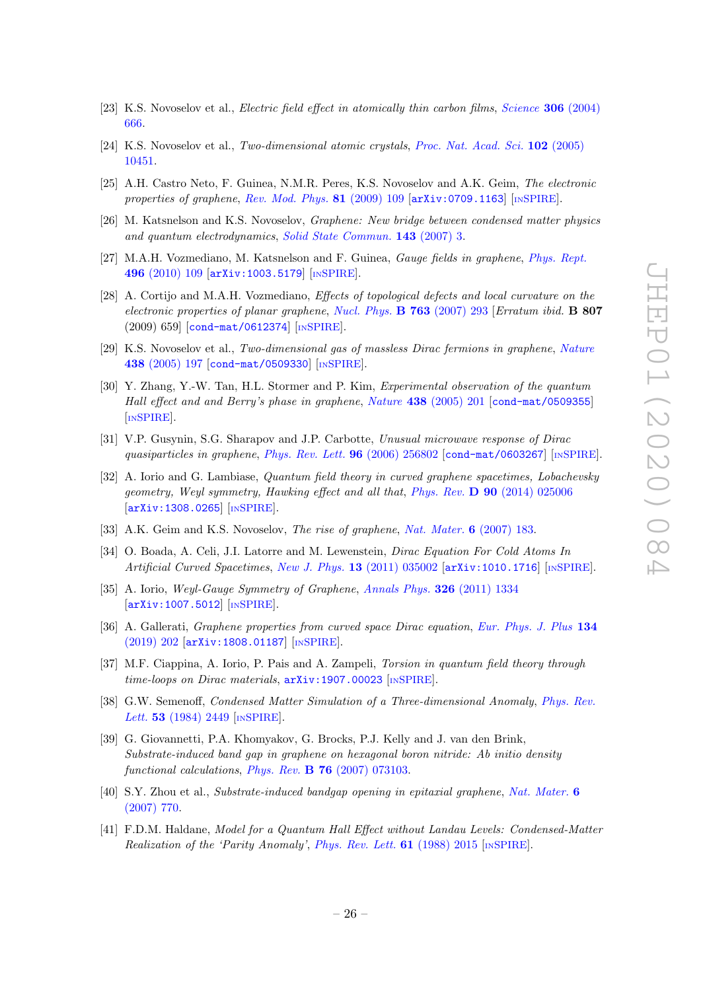- [23] K.S. Novoselov et al., *Electric field effect in atomically thin carbon films, [Science](https://doi.org/10.1126/science.1102896)* **306** (2004) [666.](https://doi.org/10.1126/science.1102896)
- [24] K.S. Novoselov et al., Two-dimensional atomic crystals, [Proc. Nat. Acad. Sci.](https://doi.org/10.1073/pnas.0502848102) 102 (2005) [10451.](https://doi.org/10.1073/pnas.0502848102)
- [25] A.H. Castro Neto, F. Guinea, N.M.R. Peres, K.S. Novoselov and A.K. Geim, The electronic properties of graphene, [Rev. Mod. Phys.](https://doi.org/10.1103/RevModPhys.81.109) 81 (2009) 109 [[arXiv:0709.1163](https://arxiv.org/abs/0709.1163)] [IN[SPIRE](https://inspirehep.net/search?p=find+J+%22Rev.Mod.Phys.,81,109%22)].
- [26] M. Katsnelson and K.S. Novoselov, Graphene: New bridge between condensed matter physics and quantum electrodynamics, [Solid State Commun.](https://doi.org/10.1016/j.ssc.2007.02.043) 143 (2007) 3.
- [27] M.A.H. Vozmediano, M. Katsnelson and F. Guinea, Gauge fields in graphene, [Phys. Rept.](https://doi.org/10.1016/j.physrep.2010.07.003) 496 [\(2010\) 109](https://doi.org/10.1016/j.physrep.2010.07.003) [[arXiv:1003.5179](https://arxiv.org/abs/1003.5179)] [IN[SPIRE](https://inspirehep.net/search?p=find+J+%22Phys.Rep.,496,109%22)].
- [28] A. Cortijo and M.A.H. Vozmediano, Effects of topological defects and local curvature on the electronic properties of planar graphene, [Nucl. Phys.](https://doi.org/10.1016/j.nuclphysb.2008.09.006) **B** 763 (2007) 293 [Erratum ibid. **B 807** (2009) 659] [[cond-mat/0612374](https://arxiv.org/abs/cond-mat/0612374)] [IN[SPIRE](https://inspirehep.net/search?p=find+J+%22Nucl.Phys.,B763,293%22)].
- [29] K.S. Novoselov et al., Two-dimensional gas of massless Dirac fermions in graphene, [Nature](https://doi.org/10.1038/nature04233) 438 [\(2005\) 197](https://doi.org/10.1038/nature04233) [[cond-mat/0509330](https://arxiv.org/abs/cond-mat/0509330)] [IN[SPIRE](https://inspirehep.net/search?p=find+J+%22Nature,438,197%22)].
- [30] Y. Zhang, Y.-W. Tan, H.L. Stormer and P. Kim, Experimental observation of the quantum Hall effect and and Berry's phase in graphene, Nature 438 [\(2005\) 201](https://doi.org/10.1038/nature04235) [[cond-mat/0509355](https://arxiv.org/abs/cond-mat/0509355)] [IN[SPIRE](https://inspirehep.net/search?p=find+J+%22Nature,438,201%22)].
- [31] V.P. Gusynin, S.G. Sharapov and J.P. Carbotte, Unusual microwave response of Dirac quasiparticles in graphene, [Phys. Rev. Lett.](https://doi.org/10.1103/PhysRevLett.96.256802) **96** (2006) 256802  $\text{cond-mat}/0603267$  [IN[SPIRE](https://inspirehep.net/search?p=find+J+%22Phys.Rev.Lett.,96,256802%22)].
- [32] A. Iorio and G. Lambiase, *Quantum field theory in curved graphene spacetimes, Lobachevsky* geometry, Weyl symmetry, Hawking effect and all that, Phys. Rev. D 90 [\(2014\) 025006](https://doi.org/10.1103/PhysRevD.90.025006) [[arXiv:1308.0265](https://arxiv.org/abs/1308.0265)] [IN[SPIRE](https://inspirehep.net/search?p=find+EPRINT+arXiv:1308.0265)].
- [33] A.K. Geim and K.S. Novoselov, *The rise of graphene*, *[Nat. Mater.](https://doi.org/10.1038/nmat1849)* **6** (2007) 183.
- [34] O. Boada, A. Celi, J.I. Latorre and M. Lewenstein, Dirac Equation For Cold Atoms In Artificial Curved Spacetimes, New J. Phys. 13 [\(2011\) 035002](https://doi.org/10.1088/1367-2630/13/3/035002) [[arXiv:1010.1716](https://arxiv.org/abs/1010.1716)] [IN[SPIRE](https://inspirehep.net/search?p=find+EPRINT+arXiv:1010.1716)].
- [35] A. Iorio, Weyl-Gauge Symmetry of Graphene, [Annals Phys.](https://doi.org/10.1016/j.aop.2011.01.001) 326 (2011) 1334 [[arXiv:1007.5012](https://arxiv.org/abs/1007.5012)] [IN[SPIRE](https://inspirehep.net/search?p=find+EPRINT+arXiv:1007.5012)].
- [36] A. Gallerati, Graphene properties from curved space Dirac equation, [Eur. Phys. J. Plus](https://doi.org/10.1140/epjp/i2019-12610-6) 134 [\(2019\) 202](https://doi.org/10.1140/epjp/i2019-12610-6) [[arXiv:1808.01187](https://arxiv.org/abs/1808.01187)] [IN[SPIRE](https://inspirehep.net/search?p=find+EPRINT+arXiv:1808.01187)].
- [37] M.F. Ciappina, A. Iorio, P. Pais and A. Zampeli, Torsion in quantum field theory through time-loops on Dirac materials,  $arXiv:1907.00023$  [IN[SPIRE](https://inspirehep.net/search?p=find+EPRINT+arXiv:1907.00023)].
- [38] G.W. Semenoff, Condensed Matter Simulation of a Three-dimensional Anomaly, [Phys. Rev.](https://doi.org/10.1103/PhysRevLett.53.2449) Lett. **53** [\(1984\) 2449](https://doi.org/10.1103/PhysRevLett.53.2449) [IN[SPIRE](https://inspirehep.net/search?p=find+J+%22Phys.Rev.Lett.,53,2449%22)].
- [39] G. Giovannetti, P.A. Khomyakov, G. Brocks, P.J. Kelly and J. van den Brink, Substrate-induced band gap in graphene on hexagonal boron nitride: Ab initio density functional calculations, Phys. Rev. B 76 [\(2007\) 073103.](https://doi.org/10.1103/physrevb.76.073103)
- [40] S.Y. Zhou et al., Substrate-induced bandgap opening in epitaxial graphene, [Nat. Mater.](https://doi.org/10.1038/nmat2003) 6 [\(2007\) 770.](https://doi.org/10.1038/nmat2003)
- [41] F.D.M. Haldane, Model for a Quantum Hall Effect without Landau Levels: Condensed-Matter Realization of the 'Parity Anomaly', [Phys. Rev. Lett.](https://doi.org/10.1103/PhysRevLett.61.2015) 61 (1988) 2015 [IN[SPIRE](https://inspirehep.net/search?p=find+J+%22Phys.Rev.Lett.,61,2015%22)].